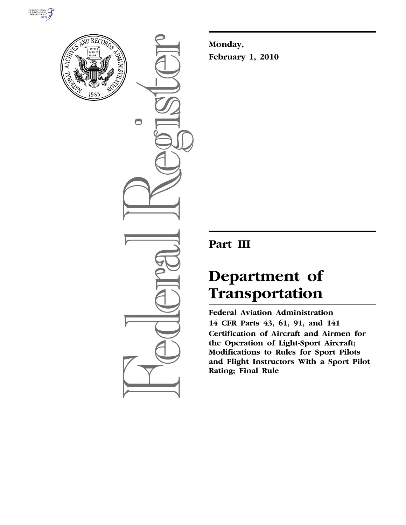



 $\bigcirc$ 

**Monday, February 1, 2010** 

# **Part III**

# **Department of Transportation**

**Federal Aviation Administration 14 CFR Parts 43, 61, 91, and 141 Certification of Aircraft and Airmen for the Operation of Light-Sport Aircraft; Modifications to Rules for Sport Pilots and Flight Instructors With a Sport Pilot Rating; Final Rule**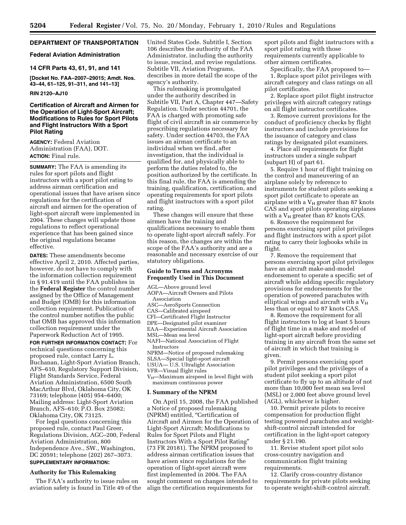# **DEPARTMENT OF TRANSPORTATION**

#### **Federal Aviation Administration**

#### **14 CFR Parts 43, 61, 91, and 141**

**[Docket No. FAA–2007–29015; Amdt. Nos. 43–44, 61–125, 91–311, and 141–13]** 

#### **RIN 2120–AJ10**

# **Certification of Aircraft and Airmen for the Operation of Light-Sport Aircraft; Modifications to Rules for Sport Pilots and Flight Instructors With a Sport Pilot Rating**

**AGENCY:** Federal Aviation Administration (FAA), DOT. **ACTION:** Final rule.

**SUMMARY:** The FAA is amending its rules for sport pilots and flight instructors with a sport pilot rating to address airman certification and operational issues that have arisen since regulations for the certification of aircraft and airmen for the operation of light-sport aircraft were implemented in 2004. These changes will update those regulations to reflect operational experience that has been gained since the original regulations became effective.

**DATES:** These amendments become effective April 2, 2010. Affected parties, however, do not have to comply with the information collection requirement in § 91.419 until the FAA publishes in the **Federal Register** the control number assigned by the Office of Management and Budget (OMB) for this information collection requirement. Publication of the control number notifies the public that OMB has approved this information collection requirement under the Paperwork Reduction Act of 1995.

**FOR FURTHER INFORMATION CONTACT:** For technical questions concerning this proposed rule, contact Larry L. Buchanan, Light-Sport Aviation Branch, AFS–610, Regulatory Support Division, Flight Standards Service, Federal Aviation Administration, 6500 South MacArthur Blvd, Oklahoma City, OK 73169; telephone (405) 954–6400; Mailing address: Light-Sport Aviation Branch, AFS–610; P.O. Box 25082; Oklahoma City, OK 73125.

For legal questions concerning this proposed rule, contact Paul Greer, Regulations Division, AGC–200, Federal Aviation Administration, 800 Independence Ave., SW., Washington, DC 20591; telephone (202) 267–3073. **SUPPLEMENTARY INFORMATION:** 

#### **Authority for This Rulemaking**

The FAA's authority to issue rules on aviation safety is found in Title 49 of the United States Code. Subtitle I, Section 106 describes the authority of the FAA Administrator, including the authority to issue, rescind, and revise regulations. Subtitle VII, Aviation Programs, describes in more detail the scope of the agency's authority.

This rulemaking is promulgated under the authority described in Subtitle VII, Part A, Chapter 447—Safety Regulation. Under section 44701, the FAA is charged with promoting safe flight of civil aircraft in air commerce by prescribing regulations necessary for safety. Under section 44703, the FAA issues an airman certificate to an individual when we find, after investigation, that the individual is qualified for, and physically able to perform the duties related to, the position authorized by the certificate. In this final rule, the FAA is amending the training, qualification, certification, and operating requirements for sport pilots and flight instructors with a sport pilot rating.

These changes will ensure that these airmen have the training and qualifications necessary to enable them to operate light-sport aircraft safely. For this reason, the changes are within the scope of the FAA's authority and are a reasonable and necessary exercise of our statutory obligations.

#### **Guide to Terms and Acronyms Frequently Used in This Document**

AGL—Above ground level

- AOPA—Aircraft Owners and Pilots Association
- ASC—AeroSports Connection
- CAS—Calibrated airspeed
- CFI—Certificated Flight Instructor
- DPE—Designated pilot examiner
- EAA—Experimental Aircraft Association
- MSL—Mean sea level
- NAFI—National Association of Flight Instructors
- 
- NPRM—Notice of proposed rulemaking SLSA—Special light-sport aircraft
- USUA— U.S. Ultralight Association
- VFR—Visual flight rules
- V<sub>H</sub>—Maximum airspeed in level flight with maximum continuous power

#### **I. Summary of the NPRM**

On April 15, 2008, the FAA published a Notice of proposed rulemaking (NPRM) entitled, "Certification of Aircraft and Airmen for the Operation of Light-Sport Aircraft; Modifications to Rules for Sport Pilots and Flight Instructors With a Sport Pilot Rating'' (73 FR 20181). The NPRM proposed to address airman certification issues that have arisen since regulations for the operation of light-sport aircraft were first implemented in 2004. The FAA sought comment on changes intended to align the certification requirements for

sport pilots and flight instructors with a sport pilot rating with those requirements currently applicable to other airmen certificates.

Specifically, the FAA proposed to—

1. Replace sport pilot privileges with aircraft category and class ratings on all pilot certificates.

2. Replace sport pilot flight instructor privileges with aircraft category ratings on all flight instructor certificates.

3. Remove current provisions for the conduct of proficiency checks by flight instructors and include provisions for the issuance of category and class ratings by designated pilot examiners.

4. Place all requirements for flight instructors under a single subpart (subpart H) of part 61.

5. Require 1 hour of flight training on the control and maneuvering of an airplane solely by reference to instruments for student pilots seeking a sport pilot certificate to operate an airplane with a  $V_H$  greater than 87 knots CAS and sport pilots operating airplanes with a  $V_H$  greater than 87 knots CAS.

6. Remove the requirement for persons exercising sport pilot privileges and flight instructors with a sport pilot rating to carry their logbooks while in flight.

7. Remove the requirement that persons exercising sport pilot privileges have an aircraft make-and-model endorsement to operate a specific set of aircraft while adding specific regulatory provisions for endorsements for the operation of powered parachutes with elliptical wings and aircraft with a  $V_H$ less than or equal to 87 knots CAS.

8. Remove the requirement for all flight instructors to log at least 5 hours of flight time in a make and model of light-sport aircraft before providing training in any aircraft from the same set of aircraft in which that training is given.

9. Permit persons exercising sport pilot privileges and the privileges of a student pilot seeking a sport pilot certificate to fly up to an altitude of not more than 10,000 feet mean sea level (MSL) or 2,000 feet above ground level (AGL), whichever is higher.

10. Permit private pilots to receive compensation for production flight testing powered parachutes and weightshift-control aircraft intended for certification in the light-sport category under § 21.190.

11. Revise student sport pilot solo cross-country navigation and communication flight training requirements.

12. Clarify cross-country distance requirements for private pilots seeking to operate weight-shift-control aircraft.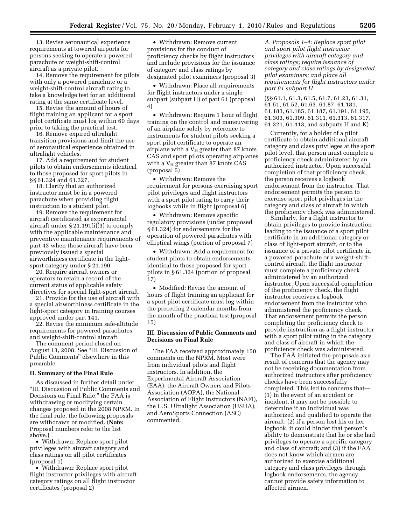13. Revise aeronautical experience requirements at towered airports for persons seeking to operate a powered parachute or weight-shift-control aircraft as a private pilot.

14. Remove the requirement for pilots with only a powered parachute or a weight-shift-control aircraft rating to take a knowledge test for an additional rating at the same certificate level.

15. Revise the amount of hours of flight training an applicant for a sport pilot certificate must log within 60 days prior to taking the practical test.

16. Remove expired ultralight transition provisions and limit the use of aeronautical experience obtained in ultralight vehicles.

17. Add a requirement for student pilots to obtain endorsements identical to those proposed for sport pilots in §§ 61.324 and 61.327.

18. Clarify that an authorized instructor must be in a powered parachute when providing flight instruction to a student pilot.

19. Remove the requirement for aircraft certificated as experimental aircraft under § 21.191(i)(3) to comply with the applicable maintenance and preventive maintenance requirements of part 43 when those aircraft have been previously issued a special airworthiness certificate in the lightsport category under § 21.190.

20. Require aircraft owners or operators to retain a record of the current status of applicable safety directives for special light-sport aircraft.

21. Provide for the use of aircraft with a special airworthiness certificate in the light-sport category in training courses approved under part 141.

22. Revise the minimum safe-altitude requirements for powered parachutes and weight-shift-control aircraft.

The comment period closed on August 13, 2008. See ''III. Discussion of Public Comments'' elsewhere in this preamble.

#### **II. Summary of the Final Rule**

As discussed in further detail under ''III. Discussion of Public Comments and Decisions on Final Rule,'' the FAA is withdrawing or modifying certain changes proposed in the 2008 NPRM. In the final rule, the following proposals are withdrawn or modified. (**Note:**  Proposal numbers refer to the list above.)

• Withdrawn: Replace sport pilot privileges with aircraft category and class ratings on all pilot certificates (proposal 1)

• Withdrawn: Replace sport pilot flight instructor privileges with aircraft category ratings on all flight instructor certificates (proposal 2)

• Withdrawn: Remove current provisions for the conduct of proficiency checks by flight instructors and include provisions for the issuance of category and class ratings by designated pilot examiners (proposal 3)

• Withdrawn: Place all requirements for flight instructors under a single subpart (subpart H) of part 61 (proposal 4)

• Withdrawn: Require 1 hour of flight training on the control and maneuvering of an airplane solely by reference to instruments for student pilots seeking a sport pilot certificate to operate an airplane with a  $V_H$  greater than 87 knots CAS and sport pilots operating airplanes with a  $V_H$  greater than 87 knots CAS (proposal 5)

• Withdrawn: Remove the requirement for persons exercising sport pilot privileges and flight instructors with a sport pilot rating to carry their logbooks while in flight (proposal 6)

• Withdrawn: Remove specific regulatory provisions (under proposed § 61.324) for endorsements for the operation of powered parachutes with elliptical wings (portion of proposal 7)

• Withdrawn: Add a requirement for student pilots to obtain endorsements identical to those proposed for sport pilots in § 61.324 (portion of proposal 17)

• Modified: Revise the amount of hours of flight training an applicant for a sport pilot certificate must log within the preceding 2 calendar months from the month of the practical test (proposal 15)

# **III. Discussion of Public Comments and Decisions on Final Rule**

The FAA received approximately 150 comments on the NPRM. Most were from individual pilots and flight instructors. In addition, the Experimental Aircraft Association (EAA), the Aircraft Owners and Pilots Association (AOPA), the National Association of Flight Instructors (NAFI), the U.S. Ultralight Association (USUA), and AeroSports Connection (ASC) commented.

*A. Proposals 1–4: Replace sport pilot and sport pilot flight instructor privileges with aircraft category and class ratings; require issuance of category and class ratings by designated pilot examiners; and place all requirements for flight instructors under part 61 subpart H* 

(§§ 61.1, 61.3, 61.5, 61.7, 61.23, 61.31, 61.51, 61.52, 61.63, 61.87, 61.181, 61.183, 61.185, 61.187, 61.191, 61.195, 61.303, 61.309, 61.311, 61.313, 61.317, 61.321, 61.413, and subparts H and K)

Currently, for a holder of a pilot certificate to obtain additional aircraft category and class privileges at the sport pilot level, that person must complete a proficiency check administered by an authorized instructor. Upon successful completion of that proficiency check, the person receives a logbook endorsement from the instructor. That endorsement permits the person to exercise sport pilot privileges in the category and class of aircraft in which the proficiency check was administered.

Similarly, for a flight instructor to obtain privileges to provide instruction leading to the issuance of a sport pilot certificate in an additional category or class of light-sport aircraft, or to the issuance of a private pilot certificate in a powered parachute or a weight-shiftcontrol aircraft, the flight instructor must complete a proficiency check administered by an authorized instructor. Upon successful completion of the proficiency check, the flight instructor receives a logbook endorsement from the instructor who administered the proficiency check. That endorsement permits the person completing the proficiency check to provide instruction as a flight instructor with a sport pilot rating in the category and class of aircraft in which the proficiency check was administered.

The FAA initiated the proposals as a result of concerns that the agency may not be receiving documentation from authorized instructors after proficiency checks have been successfully completed. This led to concerns that— (1) In the event of an accident or incident, it may not be possible to determine if an individual was authorized and qualified to operate the aircraft; (2) if a person lost his or her logbook, it could hinder that person's ability to demonstrate that he or she had privileges to operate a specific category and class of aircraft; and (3) if the FAA does not know which airmen are authorized to exercise additional category and class privileges through logbook endorsements, the agency cannot provide safety information to affected airmen.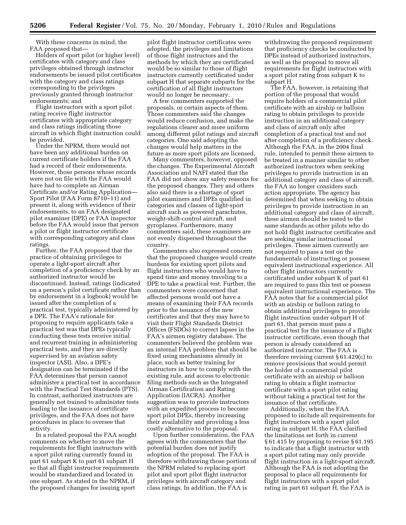With these concerns in mind, the FAA proposed that—

Holders of sport pilot (or higher level) certificates with category and class privileges obtained through instructor endorsements be issued pilot certificates with the category and class ratings corresponding to the privileges previously granted through instructor endorsements; and

Flight instructors with a sport pilot rating receive flight instructor certificates with appropriate category and class ratings indicating those aircraft in which flight instruction could be provided.

Under the NPRM, there would not have been any additional burden on current certificate holders if the FAA had a record of their endorsements. However, those persons whose records were not on file with the FAA would have had to complete an Airman Certificate and/or Rating Application— Sport Pilot (FAA Form 8710–11) and present it, along with evidence of their endorsements, to an FAA designated pilot examiner (DPE) or FAA inspector before the FAA would issue that person a pilot or flight instructor certificate with corresponding category and class ratings.

Further, the FAA proposed that the practice of obtaining privileges to operate a light-sport aircraft after completion of a proficiency check by an authorized instructor would be discontinued. Instead, ratings (indicated on a person's pilot certificate rather than by endorsement in a logbook) would be issued after the completion of a practical test, typically administered by a DPE. The FAA's rationale for proposing to require applicants take a practical test was that DPEs typically conducting these tests receive initial and recurrent training in administering practical tests, and they are directly supervised by an aviation safety inspector (ASI). Also, a DPE's designation can be terminated if the FAA determines that person cannot administer a practical test in accordance with the Practical Test Standards (PTS). In contrast, authorized instructors are generally not trained to administer tests leading to the issuance of certificate privileges, and the FAA does not have procedures in place to oversee that activity.

In a related proposal the FAA sought comments on whether to move the requirements for flight instructors with a sport pilot rating currently found in part 61 subpart K to part 61 subpart H so that all flight instructor requirements would be standardized and located in one subpart. As stated in the NPRM, if the proposed changes for issuing sport

pilot flight instructor certificates were adopted, the privileges and limitations of those flight instructors and the methods by which they are certificated would be so similar to those of flight instructors currently certificated under subpart H that separate subparts for the certification of all flight instructors would no longer be necessary.

A few commenters supported the proposals, or certain aspects of them. Those commenters said the changes would reduce confusion, and make the regulations clearer and more uniform among different pilot ratings and aircraft categories. One said adopting the changes would help matters in the future as more sport pilots are licensed.

Many commenters, however, opposed the changes. The Experimental Aircraft Association and NAFI stated that the FAA did not show any safety reasons for the proposed changes. They and others also said there is a shortage of sport pilot examiners and DPEs qualified in categories and classes of light-sport aircraft such as powered parachutes, weight-shift-control aircraft, and gyroplanes. Furthermore, many commenters said, these examiners are not evenly dispersed throughout the country.

Commenters also expressed concern that the proposed changes would create burdens for existing sport pilots and flight instructors who would have to spend time and money traveling to a DPE to take a practical test. Further, the commenters were concerned that affected persons would not have a means of examining their FAA records prior to the issuance of the new certificates and that they may have to visit their Flight Standards District Offices (FSDOs) to correct lapses in the FAA's airmen registry database. The commenters believed the problem was an internal FAA problem that should be fixed using mechanisms already in place, such as better training for instructors in how to comply with the existing rule, and access to electronic filing methods such as the Integrated Airman Certification and Rating Application (IACRA). Another suggestion was to provide instructors with an expedited process to become sport pilot DPEs, thereby increasing their availability and providing a less costly alternative to the proposal.

Upon further consideration, the FAA agrees with the commenters that the potential burden does not justify adoption of the proposal. The FAA is therefore withdrawing those portions of the NPRM related to replacing sport pilot and sport pilot flight instructor privileges with aircraft category and class ratings. In addition, the FAA is

withdrawing the proposed requirement that proficiency checks be conducted by DPEs instead of authorized instructors, as well as the proposal to move all requirements for flight instructors with a sport pilot rating from subpart K to subpart H.

The FAA, however, is retaining that portion of the proposal that would require holders of a commercial pilot certificate with an airship or balloon rating to obtain privileges to provide instruction in an additional category and class of aircraft only after completion of a practical test and not after completion of a proficiency check. Although the FAA, in the 2004 final rule, intended to permit these airmen to be treated in a manner similar to other authorized instructors when seeking privileges to provide instruction in an additional category and class of aircraft, the FAA no longer considers such action appropriate. The agency has determined that when seeking to obtain privileges to provide instruction in an additional category and class of aircraft, these airmen should be tested to the same standards as other pilots who do not hold flight instructor certificates and are seeking similar instructional privileges. These airmen currently are not required to pass a test on the fundamentals of instructing or possess equivalent instructional experience. All other flight instructors currently certificated under subpart K of part 61 are required to pass this test or possess equivalent instructional experience. The FAA notes that for a commercial pilot with an airship or balloon rating to obtain additional privileges to provide flight instruction under subpart H of part 61, that person must pass a practical test for the issuance of a flight instructor certificate, even though that person is already considered an authorized instructor. The FAA is therefore revising current § 61.429(c) to remove provisions that would permit the holder of a commercial pilot certificate with an airship or balloon rating to obtain a flight instructor certificate with a sport pilot rating without taking a practical test for the issuance of that certificate.

Additionally, when the FAA proposed to include all requirements for flight instructors with a sport pilot rating in subpart H, the FAA clarified the limitations set forth in current § 61.415 by proposing to revise § 61.195 to indicate that a flight instructor with a sport pilot rating may only provide flight instruction in a light-sport aircraft. Although the FAA is not adopting the proposal to place all requirements for flight instructors with a sport pilot rating in part 61 subpart H, the FAA is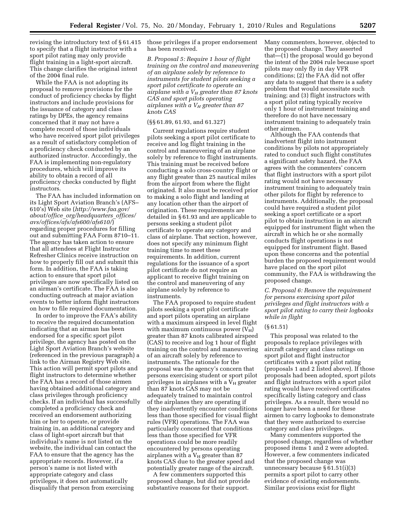revising the introductory text of § 61.415 to specify that a flight instructor with a sport pilot rating may only provide flight training in a light-sport aircraft. This change clarifies the original intent of the 2004 final rule.

While the FAA is not adopting its proposal to remove provisions for the conduct of proficiency checks by flight instructors and include provisions for the issuance of category and class ratings by DPEs, the agency remains concerned that it may not have a complete record of those individuals who have received sport pilot privileges as a result of satisfactory completion of a proficiency check conducted by an authorized instructor. Accordingly, the FAA is implementing non-regulatory procedures, which will improve its ability to obtain a record of all proficiency checks conducted by flight instructors.

The FAA has included information on its Light Sport Aviation Branch's (AFS– 610's) Web site (*http://www.faa.gov/ about/office*\_*org/headquarters*\_*offices/ avs/offices/afs/afs600/afs610/*) regarding proper procedures for filling out and submitting FAA Form 8710–11. The agency has taken action to ensure that all attendees at Flight Instructor Refresher Clinics receive instruction on how to properly fill out and submit this form. In addition, the FAA is taking action to ensure that sport pilot privileges are now specifically listed on an airman's certificate. The FAA is also conducting outreach at major aviation events to better inform flight instructors on how to file required documentation.

In order to improve the FAA's ability to receive the required documentation indicating that an airman has been endorsed for a specific sport pilot privilege, the agency has posted on the Light Sport Aviation Branch's website (referenced in the previous paragraph) a link to the Airman Registry Web site. This action will permit sport pilots and flight instructors to determine whether the FAA has a record of those airmen having obtained additional category and class privileges through proficiency checks. If an individual has successfully completed a proficiency check and received an endorsement authorizing him or her to operate, or provide training in, an additional category and class of light-sport aircraft but that individual's name is not listed on the website, the individual can contact the FAA to ensure that the agency has the appropriate records. However, if a person's name is not listed with appropriate category and class privileges, it does not automatically disqualify that person from exercising

those privileges if a proper endorsement has been received.

*B. Proposal 5: Require 1 hour of flight training on the control and maneuvering of an airplane solely by reference to instruments for student pilots seeking a sport pilot certificate to operate an airplane with a VH greater than 87 knots CAS and sport pilots operating airplanes with a VH greater than 87 knots CAS* 

#### (§§ 61.89, 61.93, and 61.327)

Current regulations require student pilots seeking a sport pilot certificate to receive and log flight training in the control and maneuvering of an airplane solely by reference to flight instruments. This training must be received before conducting a solo cross-country flight or any flight greater than 25 nautical miles from the airport from where the flight originated. It also must be received prior to making a solo flight and landing at any location other than the airport of origination. These requirements are detailed in § 61.93 and are applicable to persons seeking a student pilot certificate to operate any category and class of airplane. That section, however, does not specify any minimum flight training time to meet these requirements. In addition, current regulations for the issuance of a sport pilot certificate do not require an applicant to receive flight training on the control and maneuvering of any airplane solely by reference to instruments.

The FAA proposed to require student pilots seeking a sport pilot certificate and sport pilots operating an airplane with a maximum airspeed in level flight with maximum continuous power  $(V_H)$ greater than 87 knots calibrated airspeed (CAS) to receive and log 1 hour of flight training on the control and maneuvering of an aircraft solely by reference to instruments. The rationale for the proposal was the agency's concern that persons exercising student or sport pilot privileges in airplanes with a  $V_H$  greater than 87 knots CAS may not be adequately trained to maintain control of the airplanes they are operating if they inadvertently encounter conditions less than those specified for visual flight rules (VFR) operations. The FAA was particularly concerned that conditions less than those specified for VFR operations could be more readily encountered by persons operating airplanes with a  $V_H$  greater than 87 knots CAS due to the greater speed and potentially greater range of the aircraft.

A few commenters supported this proposed change, but did not provide substantive reasons for their support.

Many commenters, however, objected to the proposed change. They asserted that—(1) the proposal would go beyond the intent of the 2004 rule because sport pilots may only fly in day VFR conditions; (2) the FAA did not offer any data to suggest that there is a safety problem that would necessitate such training; and (3) flight instructors with a sport pilot rating typically receive only 1 hour of instrument training and therefore do not have necessary instrument training to adequately train other airmen.

Although the FAA contends that inadvertent flight into instrument conditions by pilots not appropriately rated to conduct such flight constitutes a significant safety hazard, the FAA agrees with the commenters' concern that flight instructors with a sport pilot rating would not have necessary instrument training to adequately train other pilots for flight by reference to instruments. Additionally, the proposal could have required a student pilot seeking a sport certificate or a sport pilot to obtain instruction in an aircraft equipped for instrument flight when the aircraft in which he or she normally conducts flight operations is not equipped for instrument flight. Based upon these concerns and the potential burden the proposed requirement would have placed on the sport pilot community, the FAA is withdrawing the proposed change.

*C. Proposal 6: Remove the requirement for persons exercising sport pilot privileges and flight instructors with a sport pilot rating to carry their logbooks while in flight* 

#### (§ 61.51)

This proposal was related to the proposals to replace privileges with aircraft category and class ratings on sport pilot and flight instructor certificates with a sport pilot rating (proposals 1 and 2 listed above). If those proposals had been adopted, sport pilots and flight instructors with a sport pilot rating would have received certificates specifically listing category and class privileges. As a result, there would no longer have been a need for these airmen to carry logbooks to demonstrate that they were authorized to exercise category and class privileges.

Many commenters supported the proposed change, regardless of whether proposed items 1 and 2 were adopted. However, a few commenters indicated that the proposed change was unnecessary because § 61.51(i)(3) permits a sport pilot to carry other evidence of existing endorsements. Similar provisions exist for flight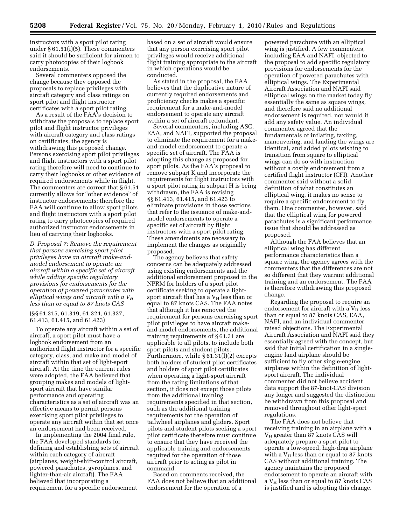instructors with a sport pilot rating under § 61.51(i)(5). These commenters said it should be sufficient for airmen to carry photocopies of their logbook endorsements.

Several commenters opposed the change because they opposed the proposals to replace privileges with aircraft category and class ratings on sport pilot and flight instructor certificates with a sport pilot rating.

As a result of the FAA's decision to withdraw the proposals to replace sport pilot and flight instructor privileges with aircraft category and class ratings on certificates, the agency is withdrawing this proposed change. Persons exercising sport pilot privileges and flight instructors with a sport pilot rating therefore will need to continue to carry their logbooks or other evidence of required endorsements while in flight. The commenters are correct that § 61.51 currently allows for ''other evidence'' of instructor endorsements; therefore the FAA will continue to allow sport pilots and flight instructors with a sport pilot rating to carry photocopies of required authorized instructor endorsements in lieu of carrying their logbooks.

*D. Proposal 7: Remove the requirement that persons exercising sport pilot privileges have an aircraft make-andmodel endorsement to operate an aircraft within a specific set of aircraft while adding specific regulatory provisions for endorsements for the operation of powered parachutes with elliptical wings and aircraft with a VH less than or equal to 87 knots CAS* 

(§§ 61.315, 61.319, 61.324, 61.327, 61.413, 61.415, and 61.423)

To operate any aircraft within a set of aircraft, a sport pilot must have a logbook endorsement from an authorized flight instructor for a specific category, class, and make and model of aircraft within that set of light-sport aircraft. At the time the current rules were adopted, the FAA believed that grouping makes and models of lightsport aircraft that have similar performance and operating characteristics as a set of aircraft was an effective means to permit persons exercising sport pilot privileges to operate any aircraft within that set once an endorsement had been received.

In implementing the 2004 final rule, the FAA developed standards for defining and establishing sets of aircraft within each category of aircraft (airplanes, weight-shift-control aircraft, powered parachutes, gyroplanes, and lighter-than-air aircraft). The FAA believed that incorporating a requirement for a specific endorsement

based on a set of aircraft would ensure that any person exercising sport pilot privileges would receive additional flight training appropriate to the aircraft in which operations would be conducted.

As stated in the proposal, the FAA believes that the duplicative nature of currently required endorsements and proficiency checks makes a specific requirement for a make-and-model endorsement to operate any aircraft within a set of aircraft redundant.

Several commenters, including ASC, EAA, and NAFI, supported the proposal to eliminate the requirement for a makeand-model endorsement to operate a specific set of aircraft. The FAA is adopting this change as proposed for sport pilots. As the FAA's proposal to remove subpart K and incorporate the requirements for flight instructors with a sport pilot rating in subpart H is being withdrawn, the FAA is revising §§ 61.413, 61.415, and 61.423 to eliminate provisions in those sections that refer to the issuance of make-andmodel endorsements to operate a specific set of aircraft by flight instructors with a sport pilot rating. These amendments are necessary to implement the changes as originally proposed.

The agency believes that safety concerns can be adequately addressed using existing endorsements and the additional endorsement proposed in the NPRM for holders of a sport pilot certificate seeking to operate a lightsport aircraft that has a  $V_H$  less than or equal to 87 knots CAS. The FAA notes that although it has removed the requirement for persons exercising sport pilot privileges to have aircraft makeand-model endorsements, the additional training requirements of § 61.31 are applicable to all pilots, to include both sport pilots and student pilots. Furthermore, while § 61.31(l)(2) excepts both holders of student pilot certificates and holders of sport pilot certificates when operating a light-sport aircraft from the rating limitations of that section, it does not except those pilots from the additional training requirements specified in that section, such as the additional training requirements for the operation of tailwheel airplanes and gliders. Sport pilots and student pilots seeking a sport pilot certificate therefore must continue to ensure that they have received the applicable training and endorsements required for the operation of those aircraft prior to acting as pilot in command.

Based on comments received, the FAA does not believe that an additional endorsement for the operation of a

powered parachute with an elliptical wing is justified. A few commenters, including EAA and NAFI, objected to the proposal to add specific regulatory provisions for endorsements for the operation of powered parachutes with elliptical wings. The Experimental Aircraft Association and NAFI said elliptical wings on the market today fly essentially the same as square wings, and therefore said no additional endorsement is required, nor would it add any safety value. An individual commenter agreed that the fundamentals of inflating, taxiing, maneuvering, and landing the wings are identical, and added pilots wishing to transition from square to elliptical wings can do so with instruction without a costly endorsement from a certified flight instructor (CFI). Another commenter said without a solid definition of what constitutes an elliptical wing, it makes no sense to require a specific endorsement to fly them. One commenter, however, said that the elliptical wing for powered parachutes is a significant performance issue that should be addressed as proposed.

Although the FAA believes that an elliptical wing has different performance characteristics than a square wing, the agency agrees with the commenters that the differences are not so different that they warrant additional training and an endorsement. The FAA is therefore withdrawing this proposed change.

Regarding the proposal to require an endorsement for aircraft with a  $V_H$  less than or equal to 87 knots CAS, EAA, NAFI, and an individual commenter raised objections. The Experimental Aircraft Association and NAFI said they essentially agreed with the concept, but said that initial certification in a singleengine land airplane should be sufficient to fly other single-engine airplanes within the definition of lightsport aircraft. The individual commenter did not believe accident data support the 87-knot-CAS division any longer and suggested the distinction be withdrawn from this proposal and removed throughout other light-sport regulations.

The FAA does not believe that receiving training in an airplane with a  $V_H$  greater than 87 knots CAS will adequately prepare a sport pilot to operate a low-speed, high-drag airplane with a  $V_H$  less than or equal to 87 knots CAS without additional training. The agency maintains the proposed endorsement to operate an aircraft with a  $V_H$  less than or equal to 87 knots CAS is justified and is adopting this change.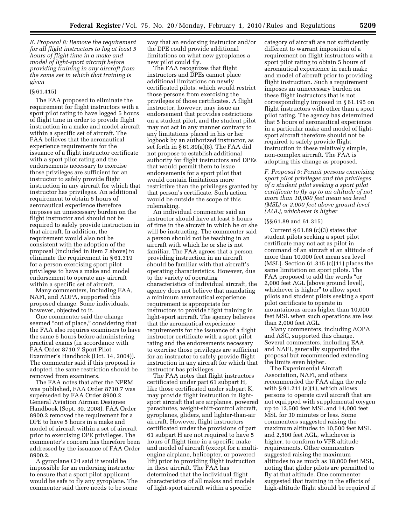*E. Proposal 8: Remove the requirement for all flight instructors to log at least 5 hours of flight time in a make and model of light-sport aircraft before providing training in any aircraft from the same set in which that training is given* 

#### (§ 61.415)

The FAA proposed to eliminate the requirement for flight instructors with a sport pilot rating to have logged 5 hours of flight time in order to provide flight instruction in a make and model aircraft within a specific set of aircraft. The FAA believes that the aeronautical experience requirements for the issuance of a flight instructor certificate with a sport pilot rating and the endorsements necessary to exercise those privileges are sufficient for an instructor to safely provide flight instruction in any aircraft for which that instructor has privileges. An additional requirement to obtain 5 hours of aeronautical experience therefore imposes an unnecessary burden on the flight instructor and should not be required to safely provide instruction in that aircraft. In addition, the requirement would also not be consistent with the adoption of the proposal (included in item 7 above) to eliminate the requirement in § 61.319 for a person exercising sport pilot privileges to have a make and model endorsement to operate any aircraft within a specific set of aircraft.

Many commenters, including EAA, NAFI, and AOPA, supported this proposed change. Some individuals, however, objected to it.

One commenter said the change seemed "out of place," considering that the FAA also requires examiners to have the same 5 hours before administering practical exams (in accordance with FAA Order 8710.7 Sport Pilot Examiner's Handbook (Oct. 14, 2004)). The commenter said if this proposal is adopted, the same restriction should be removed from examiners.

The FAA notes that after the NPRM was published, FAA Order 8710.7 was superseded by FAA Order 8900.2 General Aviation Airman Designee Handbook (Sept. 30, 2008). FAA Order 8900.2 removed the requirement for a DPE to have 5 hours in a make and model of aircraft within a set of aircraft prior to exercising DPE privileges. The commenter's concern has therefore been addressed by the issuance of FAA Order 8900.2.

A gyroplane CFI said it would be impossible for an endorsing instructor to ensure that a sport pilot applicant would be safe to fly any gyroplane. The commenter said there needs to be some way that an endorsing instructor and/or the DPE could provide additional limitations on what new gyroplanes a new pilot could fly.

The FAA recognizes that flight instructors and DPEs cannot place additional limitations on newly certificated pilots, which would restrict those persons from exercising the privileges of those certificates. A flight instructor, however, may issue an endorsement that provides restrictions on a student pilot, and the student pilot may not act in any manner contrary to any limitations placed in his or her logbook by an authorized instructor, as set forth in § 61.89(a)(8). The FAA did not propose to establish additional authority for flight instructors and DPEs that would permit them to issue endorsements for a sport pilot that would contain limitations more restrictive than the privileges granted by that person's certificate. Such action would be outside the scope of this rulemaking.

An individual commenter said an instructor should have at least 5 hours of time in the aircraft in which he or she will be instructing. The commenter said a person should not be teaching in an aircraft with which he or she is not familiar. The FAA agrees that a person providing instruction in an aircraft should be familiar with that aircraft's operating characteristics. However, due to the variety of operating characteristics of individual aircraft, the agency does not believe that mandating a minimum aeronautical experience requirement is appropriate for instructors to provide flight training in light-sport aircraft. The agency believes that the aeronautical experience requirements for the issuance of a flight instructor certificate with a sport pilot rating and the endorsements necessary to exercise those privileges are sufficient for an instructor to safely provide flight instruction in any aircraft for which that instructor has privileges.

The FAA notes that flight instructors certificated under part 61 subpart H, like those certificated under subpart K, may provide flight instruction in lightsport aircraft that are airplanes, powered parachutes, weight-shift-control aircraft, gyroplanes, gliders, and lighter-than-air aircraft. However, flight instructors certificated under the provisions of part 61 subpart H are not required to have 5 hours of flight time in a specific make and model of aircraft (except for a multiengine airplane, helicopter, or powered lift) prior to providing flight instruction in these aircraft. The FAA has determined that the individual flight characteristics of all makes and models of light-sport aircraft within a specific

category of aircraft are not sufficiently different to warrant imposition of a requirement on flight instructors with a sport pilot rating to obtain 5 hours of aeronautical experience in each make and model of aircraft prior to providing flight instruction. Such a requirement imposes an unnecessary burden on these flight instructors that is not correspondingly imposed in § 61.195 on flight instructors with other than a sport pilot rating. The agency has determined that 5 hours of aeronautical experience in a particular make and model of lightsport aircraft therefore should not be required to safely provide flight instruction in these relatively simple, non-complex aircraft. The FAA is adopting this change as proposed.

*F. Proposal 9: Permit persons exercising sport pilot privileges and the privileges of a student pilot seeking a sport pilot certificate to fly up to an altitude of not more than 10,000 feet mean sea level (MSL) or 2,000 feet above ground level (AGL), whichever is higher* 

#### (§§ 61.89 and 61.315)

Current  $\S 61.89$  (c)(3) states that student pilots seeking a sport pilot certificate may not act as pilot in command of an aircraft at an altitude of more than 10,000 feet mean sea level (MSL). Section 61.315 (c)(11) places the same limitation on sport pilots. The FAA proposed to add the words ''or 2,000 feet AGL [above ground level], whichever is higher" to allow sport pilots and student pilots seeking a sport pilot certificate to operate in mountainous areas higher than 10,000 feet MSL when such operations are less than 2,000 feet AGL.

Many commenters, including AOPA and ASC, supported this change. Several commenters, including EAA and NAFI, generally supported the proposal but recommended extending the limits even higher.

The Experimental Aircraft Association, NAFI, and others recommended the FAA align the rule with  $\S 91.211$  (a)(1), which allows persons to operate civil aircraft that are not equipped with supplemental oxygen up to 12,500 feet MSL and 14,000 feet MSL for 30 minutes or less. Some commenters suggested raising the maximum altitudes to 10,500 feet MSL and 2,500 feet AGL, whichever is higher, to conform to VFR altitude requirements. Other commenters suggested raising the maximum altitudes to as much as 18,000 feet MSL, noting that glider pilots are permitted to fly at that altitude. One commenter suggested that training in the effects of high-altitude flight should be required if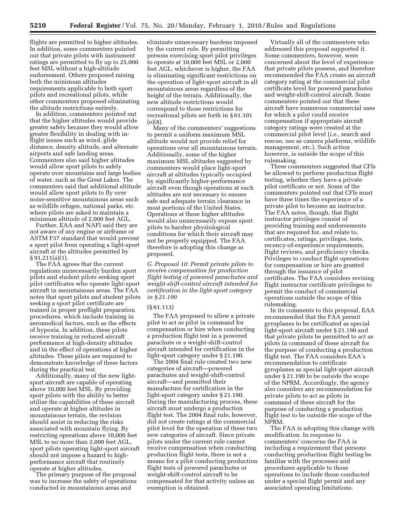flights are permitted to higher altitudes. In addition, some commenters pointed out that private pilots with instrument ratings are permitted to fly up to 25,000 feet MSL without a high-altitude endorsement. Others proposed raising both the minimum altitudes requirements applicable to both sport pilots and recreational pilots, while other commenters proposed eliminating the altitude restrictions entirely.

In addition, commenters pointed out that the higher altitudes would provide greater safety because they would allow greater flexibility in dealing with inflight issues such as wind, glide distance, density altitude, and alternate airports and safe landing areas. Commenters also said higher altitudes would allow sport pilots to safely operate over mountains and large bodies of water, such as the Great Lakes. The commenters said that additional altitude would allow sport pilots to fly over noise-sensitive mountainous areas such as wildlife refuges, national parks, etc. where pilots are asked to maintain a minimum altitude of 2,000 feet AGL.

Further, EAA and NAFI said they are not aware of any engine or airframe or ASTM F37 standard that would prevent a sport pilot from operating a light-sport aircraft at the altitudes permitted by § 91.211(a)(1).

The FAA agrees that the current regulations unnecessarily burden sport pilots and student pilots seeking sport pilot certificates who operate light-sport aircraft in mountainous areas. The FAA notes that sport pilots and student pilots seeking a sport pilot certificate are trained in proper preflight preparation procedures, which include training in aeromedical factors, such as the effects of hypoxia. In addition, these pilots receive training in reduced aircraft performance at high-density altitudes and in the effect of operations at higher altitudes. These pilots are required to demonstrate knowledge of these factors during the practical test.

Additionally, many of the new lightsport aircraft are capable of operating above 10,000 feet MSL. By providing sport pilots with the ability to better utilize the capabilities of these aircraft and operate at higher altitudes in mountainous terrain, the revision should assist in reducing the risks associated with mountain flying. By restricting operations above 10,000 feet MSL to no more than 2,000 feet AGL, sport pilots operating light-sport aircraft should not impose a hazard to highperformance aircraft that routinely operate at higher altitudes.

The primary purpose of the proposal was to increase the safety of operations conducted in mountainous areas and

eliminate unnecessary burdens imposed by the current rule. By permitting persons exercising sport pilot privileges to operate at 10,000 feet MSL or 2,000 feet AGL, whichever is higher, the FAA is eliminating significant restrictions on the operation of light-sport aircraft in all mountainous areas regardless of the height of the terrain. Additionally, the new altitude restrictions would correspond to those restrictions for recreational pilots set forth in § 61.101 (e)(8).

Many of the commenters' suggestions to permit a uniform maximum MSL altitude would not provide relief for operations over all mountainous terrain. Additionally, some of the higher maximum MSL altitudes suggested by commenters would place light-sport aircraft at altitudes typically occupied by significantly higher-performance aircraft even though operations at such altitudes are not necessary to ensure safe and adequate terrain clearance in most portions of the United States. Operations at these higher altitudes would also unnecessarily expose sport pilots to harsher physiological conditions for which their aircraft may not be properly equipped. The FAA therefore is adopting this change as proposed.

*G. Proposal 10: Permit private pilots to receive compensation for production flight testing of powered parachutes and weight-shift-control aircraft intended for certification in the light-sport category in § 21.190* 

#### (§ 61.113)

The FAA proposed to allow a private pilot to act as pilot in command for compensation or hire when conducting a production flight test in a powered parachute or a weight-shift-control aircraft intended for certification in the light-sport category under § 21.190.

The 2004 final rule created two new categories of aircraft—powered parachutes and weight-shift-control aircraft—and permitted their manufacture for certification in the light-sport category under § 21.190. During the manufacturing process, these aircraft must undergo a production flight test. The 2004 final rule, however, did not create ratings at the commercial pilot level for the operation of these two new categories of aircraft. Since private pilots under the current rule cannot receive compensation when conducting production flight tests, there is not a means for a pilot conducting production flight tests of powered parachutes or weight-shift-control aircraft to be compensated for that activity unless an exemption is obtained.

Virtually all of the commenters who addressed this proposal supported it. Some commenters, however, were concerned about the level of experience that private pilots possess, and therefore recommended the FAA create an aircraft category rating at the commercial pilot certificate level for powered parachutes and weight-shift-control aircraft. Some commenters pointed out that these aircraft have numerous commercial uses for which a pilot could receive compensation if appropriate aircraft category ratings were created at the commercial pilot level (*i.e.,* search and rescue, use as camera platforms, wildlife management, etc.). Such action however, is outside the scope of this rulemaking.

Three commenters suggested that CFIs be allowed to perform production flight testing, whether they have a private pilot certificate or not. Some of the commenters pointed out that CFIs must have three times the experience of a private pilot to become an instructor. The FAA notes, though, that flight instructor privileges consist of providing training and endorsements that are required for, and relate to, certificates, ratings, privileges, tests, recency-of-experience requirements, flight reviews, and proficiency checks. Privileges to conduct flight operations for compensation or hire are granted through the issuance of pilot certificates. The FAA considers revising flight instructor certificate privileges to permit the conduct of commercial operations outside the scope of this rulemaking.

In its comments to this proposal, EAA recommended that the FAA permit gyroplanes to be certificated as special light-sport aircraft under § 21.190 and that private pilots be permitted to act as pilots in command of these aircraft for the purpose of conducting a production flight test. The FAA considers EAA's recommendation to certificate gyroplanes as special light-sport aircraft under § 21.190 to be outside the scope of the NPRM. Accordingly, the agency also considers any recommendation for private pilots to act as pilots in command of these aircraft for the purpose of conducting a production flight test to be outside the scope of the NPRM.

The FAA is adopting this change with modification. In response to commenters' concerns the FAA is including a requirement that persons conducting production flight testing be familiar with the processes and procedures applicable to those operations to include those conducted under a special flight permit and any associated operating limitations.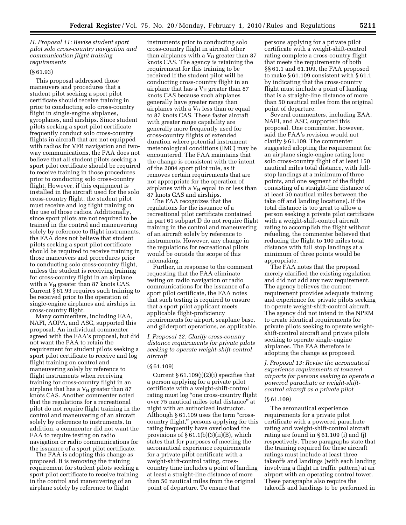# *H. Proposal 11: Revise student sport pilot solo cross-country navigation and communication flight training requirements*

## (§ 61.93)

This proposal addressed those maneuvers and procedures that a student pilot seeking a sport pilot certificate should receive training in prior to conducting solo cross-country flight in single-engine airplanes, gyroplanes, and airships. Since student pilots seeking a sport pilot certificate frequently conduct solo cross-country flights in aircraft that are not equipped with radios for VFR navigation and twoway communications, the FAA does not believe that all student pilots seeking a sport pilot certificate should be required to receive training in those procedures prior to conducting solo cross-country flight. However, if this equipment is installed in the aircraft used for the solo cross-country flight, the student pilot must receive and log flight training on the use of those radios. Additionally, since sport pilots are not required to be trained in the control and maneuvering solely by reference to flight instruments, the FAA does not believe that student pilots seeking a sport pilot certificate should be required to receive training in those maneuvers and procedures prior to conducting solo cross-country flight, unless the student is receiving training for cross-country flight in an airplane with a  $V_H$  greater than 87 knots CAS. Current § 61.93 requires such training to be received prior to the operation of single-engine airplanes and airships in cross-country flight.

Many commenters, including EAA, NAFI, AOPA, and ASC, supported this proposal. An individual commenter agreed with the FAA's proposal, but did not want the FAA to retain the requirement for student pilots seeking a sport pilot certificate to receive and log flight training on control and maneuvering solely by reference to flight instruments when receiving training for cross-country flight in an airplane that has a  $V_H$  greater than 87 knots CAS. Another commenter noted that the regulations for a recreational pilot do not require flight training in the control and maneuvering of an aircraft solely by reference to instruments. In addition, a commenter did not want the FAA to require testing on radio navigation or radio communications for the issuance of a sport pilot certificate.

The FAA is adopting this change as proposed. It is removing the training requirement for student pilots seeking a sport pilot certificate to receive training in the control and maneuvering of an airplane solely by reference to flight

instruments prior to conducting solo cross-country flight in aircraft other than airplanes with a  $V_H$  greater than 87 knots CAS. The agency is retaining the requirement for this training to be received if the student pilot will be conducting cross-country flight in an airplane that has a  $V_H$  greater than 87 knots CAS because such airplanes generally have greater range than airplanes with a  $V_H$  less than or equal to 87 knots CAS. These faster aircraft with greater range capability are generally more frequently used for cross-country flights of extended duration where potential instrument meteorological conditions (IMC) may be encountered. The FAA maintains that the change is consistent with the intent of the 2004 sport pilot rule, as it removes certain requirements that are not appropriate for the operation of airplanes with a  $V_H$  equal to or less than 87 knots CAS and airships.

The FAA recognizes that the regulations for the issuance of a recreational pilot certificate contained in part 61 subpart D do not require flight training in the control and maneuvering of an aircraft solely by reference to instruments. However, any change in the regulations for recreational pilots would be outside the scope of this rulemaking.

Further, in response to the comment requesting that the FAA eliminate testing on radio navigation or radio communications for the issuance of a sport pilot certificate, the FAA notes that such testing is required to ensure that a sport pilot applicant meets applicable flight-proficiency requirements for airport, seaplane base, and gliderport operations, as applicable.

*I. Proposal 12: Clarify cross-country distance requirements for private pilots seeking to operate weight-shift-control aircraft* 

#### (§ 61.109)

Current  $\S 61.109(j)(2)(i)$  specifies that a person applying for a private pilot certificate with a weight-shift-control rating must log "one cross-country flight" over 75 nautical miles total distance'' at night with an authorized instructor. Although § 61.109 uses the term "crosscountry flight,'' persons applying for this rating frequently have overlooked the provisions of § 61.1(b)(3)(ii)(B), which states that for purposes of meeting the aeronautical experience requirements for a private pilot certificate with a weight-shift-control rating, crosscountry time includes a point of landing at least a straight-line distance of more than 50 nautical miles from the original point of departure. To ensure that

persons applying for a private pilot certificate with a weight-shift-control rating complete a cross-country flight that meets the requirements of both §§ 61.1 and 61.109, the FAA proposed to make § 61.109 consistent with § 61.1 by indicating that the cross-country flight must include a point of landing that is a straight-line distance of more than 50 nautical miles from the original point of departure.

Several commenters, including EAA, NAFI, and ASC, supported this proposal. One commenter, however, said the FAA's revision would not clarify § 61.109. The commenter suggested adopting the requirement for an airplane single-engine rating (one solo cross-country flight of at least 150 nautical miles total distance, with fullstop landings at a minimum of three points, and one segment of the flight consisting of a straight-line distance of at least 50 nautical miles between the take off and landing locations). If the total distance is too great to allow a person seeking a private pilot certificate with a weight-shift-control aircraft rating to accomplish the flight without refueling, the commenter believed that reducing the flight to 100 miles total distance with full stop landings at a minimum of three points would be appropriate.

The FAA notes that the proposal merely clarified the existing regulation and did not add any new requirement. The agency believes the current requirement provides adequate training and experience for private pilots seeking to operate weight-shift-control aircraft. The agency did not intend in the NPRM to create identical requirements for private pilots seeking to operate weightshift-control aircraft and private pilots seeking to operate single-engine airplanes. The FAA therefore is adopting the change as proposed.

*J. Proposal 13: Revise the aeronautical experience requirements at towered airports for persons seeking to operate a powered parachute or weight-shiftcontrol aircraft as a private pilot* 

# (§ 61.109)

The aeronautical experience requirements for a private pilot certificate with a powered parachute rating and weight-shift-control aircraft rating are found in § 61.109 (i) and (j) respectively. These paragraphs state that the training required for these aircraft ratings must include at least three takeoffs and landings (with each landing involving a flight in traffic pattern) at an airport with an operating control tower. These paragraphs also require the takeoffs and landings to be performed in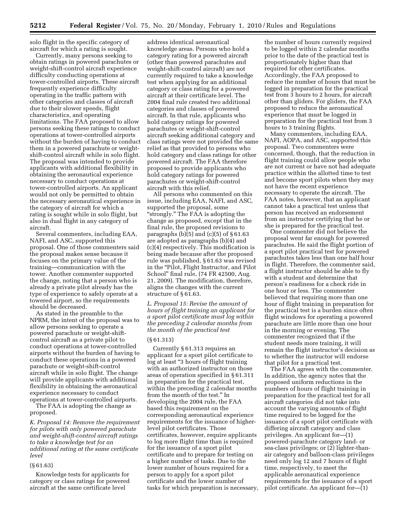solo flight in the specific category of aircraft for which a rating is sought.

Currently, many persons seeking to obtain ratings in powered parachutes or weight-shift-control aircraft experience difficulty conducting operations at tower-controlled airports. These aircraft frequently experience difficulty operating in the traffic pattern with other categories and classes of aircraft due to their slower speeds, flight characteristics, and operating limitations. The FAA proposed to allow persons seeking these ratings to conduct operations at tower-controlled airports without the burden of having to conduct them in a powered parachute or weightshift-control aircraft while in solo flight. The proposal was intended to provide applicants with additional flexibility in obtaining the aeronautical experience necessary to conduct operations at tower-controlled airports. An applicant would not only be permitted to obtain the necessary aeronautical experience in the category of aircraft for which a rating is sought while in solo flight, but also in dual flight in any category of aircraft.

Several commenters, including EAA, NAFI, and ASC, supported this proposal. One of those commenters said the proposal makes sense because it focuses on the primary value of the training—communication with the tower. Another commenter supported the change, noting that a person who is already a private pilot already has the type of experience to safely operate at a towered airport, so the requirements should be decreased.

As stated in the preamble to the NPRM, the intent of the proposal was to allow persons seeking to operate a powered parachute or weight-shiftcontrol aircraft as a private pilot to conduct operations at tower-controlled airports without the burden of having to conduct these operations in a powered parachute or weight-shift-control aircraft while in solo flight. The change will provide applicants with additional flexibility in obtaining the aeronautical experience necessary to conduct operations at tower-controlled airports.

The FAA is adopting the change as proposed.

*K. Proposal 14: Remove the requirement for pilots with only powered parachute and weight-shift-control aircraft ratings to take a knowledge test for an additional rating at the same certificate level* 

# (§ 61.63)

Knowledge tests for applicants for category or class ratings for powered aircraft at the same certificate level

address identical aeronautical knowledge areas. Persons who hold a category rating for a powered aircraft (other than powered parachutes and weight-shift-control aircraft) are not currently required to take a knowledge test when applying for an additional category or class rating for a powered aircraft at their certificate level. The 2004 final rule created two additional categories and classes of powered aircraft. In that rule, applicants who hold category ratings for powered parachutes or weight-shift-control aircraft seeking additional category and class ratings were not provided the same relief as that provided to persons who hold category and class ratings for other powered aircraft. The FAA therefore proposed to provide applicants who hold category ratings for powered parachutes or weight-shift-control aircraft with this relief.

All persons who commented on this issue, including EAA, NAFI, and ASC, supported the proposal, some ''strongly.'' The FAA is adopting the change as proposed, except that in the final rule, the proposed revisions to paragraphs  $(b)(5)$  and  $(c)(5)$  of  $§ 61.63$ are adopted as paragraphs (b)(4) and (c)(4) respectively. This modification is being made because after the proposed rule was published, § 61.63 was revised in the "Pilot, Flight Instructor, and Pilot School'' final rule, (74 FR 42500, Aug. 21, 2009). The modification, therefore, aligns the changes with the current structure of § 61.63.

*L. Proposal 15: Revise the amount of hours of flight training an applicant for a sport pilot certificate must log within the preceding 2 calendar months from the month of the practical test* 

#### (§ 61.313)

Currently § 61.313 requires an applicant for a sport pilot certificate to log at least ''3 hours of flight training with an authorized instructor on those areas of operation specified in § 61.311 in preparation for the practical test, within the preceding 2 calendar months from the month of the test.'' In developing the 2004 rule, the FAA based this requirement on the corresponding aeronautical experience requirements for the issuance of higherlevel pilot certificates. Those certificates, however, require applicants to log more flight time than is required for the issuance of a sport pilot certificate and to prepare for testing on a higher number of tasks. Due to the lower number of hours required for a person to apply for a sport pilot certificate and the lower number of tasks for which preparation is necessary,

the number of hours currently required to be logged within 2 calendar months prior to the date of the practical test is proportionately higher than that required for other certificates. Accordingly, the FAA proposed to reduce the number of hours that must be logged in preparation for the practical test from 3 hours to 2 hours, for aircraft other than gliders. For gliders, the FAA proposed to reduce the aeronautical experience that must be logged in preparation for the practical test from 3 hours to 3 training flights.

Many commenters, including EAA, NAFI, AOPA, and ASC, supported this proposal. Two commenters were concerned, though, that the reduction in flight training could allow people who are not current or have not had adequate practice within the allotted time to test and become sport pilots when they may not have the recent experience necessary to operate the aircraft. The FAA notes, however, that an applicant cannot take a practical test unless that person has received an endorsement from an instructor certifying that he or she is prepared for the practical test.

One commenter did not believe the proposal went far enough for powered parachutes. He said the flight portion of a sport pilot practical test for powered parachutes takes less than one half hour in flight. Therefore, the commenter said, a flight instructor should be able to fly with a student and determine that person's readiness for a check ride in one hour or less. The commenter believed that requiring more than one hour of flight training in preparation for the practical test is a burden since often flight windows for operating a powered parachute are little more than one hour in the morning or evening. The commenter recognized that if the student needs more training, it will remain the flight instructor's decision as to whether the instructor will endorse that pilot for a practical test.

The FAA agrees with the commenter. In addition, the agency notes that the proposed uniform reductions in the numbers of hours of flight training in preparation for the practical test for all aircraft categories did not take into account the varying amounts of flight time required to be logged for the issuance of a sport pilot certificate with differing aircraft category and class privileges. An applicant for—(1) powered-parachute category land- or sea-class privileges; or (2) lighter-thanair category and balloon-class privileges need only log 12 and 7 hours of flight time, respectively, to meet the applicable aeronautical experience requirements for the issuance of a sport pilot certificate. An applicant for—(1)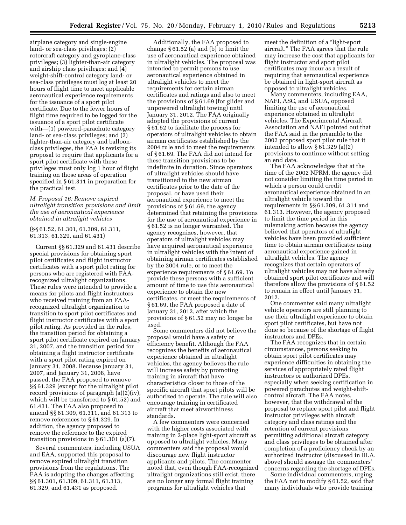airplane category and single-engine land- or sea-class privileges; (2) rotorcraft category and gyroplane-class privileges; (3) lighter-than-air category and airship class privileges; and (4) weight-shift-control category land- or sea-class privileges must log at least 20 hours of flight time to meet applicable aeronautical experience requirements for the issuance of a sport pilot certificate. Due to the fewer hours of flight time required to be logged for the issuance of a sport pilot certificate with—(1) powered-parachute category land- or sea-class privileges; and (2) lighter-than-air category and balloonclass privileges, the FAA is revising its proposal to require that applicants for a sport pilot certificate with these privileges must only log 1 hour of flight training on those areas of operation specified in § 61.311 in preparation for the practical test.

#### *M. Proposal 16: Remove expired ultralight transition provisions and limit the use of aeronautical experience obtained in ultralight vehicles*

#### (§§ 61.52, 61.301, 61.309, 61.311, 61.313, 61.329, and 61.431)

Current §§ 61.329 and 61.431 describe special provisions for obtaining sport pilot certificates and flight instructor certificates with a sport pilot rating for persons who are registered with FAArecognized ultralight organizations. These rules were intended to provide a means for pilots and flight instructors who received training from an FAArecognized ultralight organization to transition to sport pilot certificates and flight instructor certificates with a sport pilot rating. As provided in the rules, the transition period for obtaining a sport pilot certificate expired on January 31, 2007, and the transition period for obtaining a flight instructor certificate with a sport pilot rating expired on January 31, 2008. Because January 31, 2007, and January 31, 2008, have passed, the FAA proposed to remove §§ 61.329 (except for the ultralight pilot record provisions of paragraph (a)(2)(iv), which will be transferred to § 61.52) and 61.431. The FAA also proposed to amend §§ 61.309, 61.311, and 61.313 to remove references to § 61.329. In addition, the agency proposed to remove the reference to the expired transition provisions in § 61.301 (a)(7).

Several commenters, including USUA and EAA, supported this proposal to remove expired ultralight transition provisions from the regulations. The FAA is adopting the changes affecting §§ 61.301, 61.309, 61.311, 61.313, 61.329, and 61.431 as proposed.

Additionally, the FAA proposed to change § 61.52 (a) and (b) to limit the use of aeronautical experience obtained in ultralight vehicles. The proposal was intended to permit persons to use aeronautical experience obtained in ultralight vehicles to meet the requirements for certain airman certificates and ratings and also to meet the provisions of § 61.69 (for glider and unpowered ultralight towing) until January 31, 2012. The FAA originally adopted the provisions of current § 61.52 to facilitate the process for operators of ultralight vehicles to obtain airman certificates established by the 2004 rule and to meet the requirements of § 61.69. The FAA did not intend for these transition provisions to be indefinite in duration. Since operators of ultralight vehicles should have transitioned to the new airman certificates prior to the date of the proposal, or have used their aeronautical experience to meet the provisions of § 61.69, the agency determined that retaining the provisions for the use of aeronautical experience in § 61.52 is no longer warranted. The agency recognizes, however, that operators of ultralight vehicles may have acquired aeronautical experience in ultralight vehicles with the intent of obtaining airman certificates established by the 2004 rule, or to meet the experience requirements of § 61.69. To provide these persons with a sufficient amount of time to use this aeronautical experience to obtain the new certificates, or meet the requirements of § 61.69, the FAA proposed a date of January 31, 2012, after which the provisions of § 61.52 may no longer be used.

Some commenters did not believe the proposal would have a safety or efficiency benefit. Although the FAA recognizes the benefits of aeronautical experience obtained in ultralight vehicles, the agency believes the rule will increase safety by promoting training in aircraft that have characteristics closer to those of the specific aircraft that sport pilots will be authorized to operate. The rule will also encourage training in certificated aircraft that meet airworthiness standards.

A few commenters were concerned with the higher costs associated with training in 2-place light-sport aircraft as opposed to ultralight vehicles. Many commenters said the proposal would discourage new flight instructor applicants and pilots. The commenter noted that, even though FAA-recognized ultralight organizations still exist, there are no longer any formal flight training programs for ultralight vehicles that

meet the definition of a "light-sport" aircraft.'' The FAA agrees that the rule may increase the cost that applicants for flight instructor and sport pilot certificates may incur as a result of requiring that aeronautical experience be obtained in light-sport aircraft as opposed to ultralight vehicles.

Many commenters, including EAA, NAFI, ASC, and USUA, opposed limiting the use of aeronautical experience obtained in ultralight vehicles. The Experimental Aircraft Association and NAFI pointed out that the FAA said in the preamble to the 2002 proposed sport pilot rule that it intended to allow § 61.329 (a)(2) provisions to continue without setting an end date.

The FAA acknowledges that at the time of the 2002 NPRM, the agency did not consider limiting the time period in which a person could credit aeronautical experience obtained in an ultralight vehicle toward the requirements in §§ 61.309, 61.311 and 61.313. However, the agency proposed to limit the time period in this rulemaking action because the agency believed that operators of ultralight vehicles have been provided sufficient time to obtain airman certificates using aeronautical experience gained in ultralight vehicles. The agency recognizes that certain operators of ultralight vehicles may not have already obtained sport pilot certificates and will therefore allow the provisions of § 61.52 to remain in effect until January 31, 2012.

One commenter said many ultralight vehicle operators are still planning to use their ultralight experience to obtain sport pilot certificates, but have not done so because of the shortage of flight instructors and DPEs.

The FAA recognizes that in certain circumstances, persons seeking to obtain sport pilot certificates may experience difficulties in obtaining the services of appropriately rated flight instructors or authorized DPEs, especially when seeking certification in powered parachutes and weight-shiftcontrol aircraft. The FAA notes, however, that the withdrawal of the proposal to replace sport pilot and flight instructor privileges with aircraft category and class ratings and the retention of current provisions permitting additional aircraft category and class privileges to be obtained after completion of a proficiency check by an authorized instructor (discussed in III.A. above) should assuage the commenters' concerns regarding the shortage of DPEs.

Some individual commenters, urging the FAA not to modify § 61.52, said that many individuals who provide training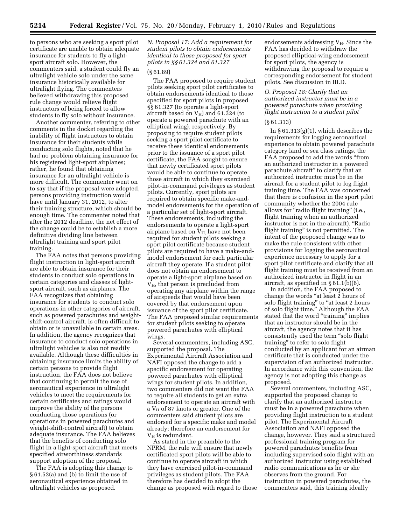to persons who are seeking a sport pilot certificate are unable to obtain adequate insurance for students to fly a lightsport aircraft solo. However, the commenters said, a student could fly an ultralight vehicle solo under the same insurance historically available for ultralight flying. The commenters believed withdrawing this proposed rule change would relieve flight instructors of being forced to allow students to fly solo without insurance.

Another commenter, referring to other comments in the docket regarding the inability of flight instructors to obtain insurance for their students while conducting solo flights, noted that he had no problem obtaining insurance for his registered light-sport airplanes; rather, he found that obtaining insurance for an ultralight vehicle is more difficult. The commenter went on to say that if the proposal were adopted, persons providing instruction would have until January 31, 2012, to alter their training structure, which should be enough time. The commenter noted that after the 2012 deadline, the net effect of the change could be to establish a more definitive dividing line between ultralight training and sport pilot training.

The FAA notes that persons providing flight instruction in light-sport aircraft are able to obtain insurance for their students to conduct solo operations in certain categories and classes of lightsport aircraft, such as airplanes. The FAA recognizes that obtaining insurance for students to conduct solo operations in other categories of aircraft, such as powered parachutes and weightshift-control aircraft, is often difficult to obtain or is unavailable in certain areas. In addition, the agency recognizes that insurance to conduct solo operations in ultralight vehicles is also not readily available. Although these difficulties in obtaining insurance limits the ability of certain persons to provide flight instruction, the FAA does not believe that continuing to permit the use of aeronautical experience in ultralight vehicles to meet the requirements for certain certificates and ratings would improve the ability of the persons conducting those operations (or operations in powered parachutes and weight-shift-control aircraft) to obtain adequate insurance. The FAA believes that the benefits of conducting solo flight in a light-sport aircraft that meets specified airworthiness standards support adoption of the proposal.

The FAA is adopting this change to § 61.52(a) and (b) to limit the use of aeronautical experience obtained in ultralight vehicles as proposed.

*N. Proposal 17: Add a requirement for student pilots to obtain endorsements identical to those proposed for sport pilots in §§ 61.324 and 61.327* 

#### (§ 61.89)

The FAA proposed to require student pilots seeking sport pilot certificates to obtain endorsements identical to those specified for sport pilots in proposed §§ 61.327 (to operate a light-sport aircraft based on  $V_H$ ) and 61.324 (to operate a powered parachute with an elliptical wing), respectively. By proposing to require student pilots seeking a sport pilot certificate to receive these identical endorsements prior to the issuance of a sport pilot certificate, the FAA sought to ensure that newly certificated sport pilots would be able to continue to operate those aircraft in which they exercised pilot-in-command privileges as student pilots. Currently, sport pilots are required to obtain specific make-andmodel endorsements for the operation of a particular set of light-sport aircraft. These endorsements, including the endorsements to operate a light-sport airplane based on  $V_{H}$ , have not been required for student pilots seeking a sport pilot certificate because student pilots are required to have a make-andmodel endorsement for each particular aircraft they operate. If a student pilot does not obtain an endorsement to operate a light-sport airplane based on  $V_H$ , that person is precluded from operating any airplane within the range of airspeeds that would have been covered by that endorsement upon issuance of the sport pilot certificate. The FAA proposed similar requirements for student pilots seeking to operate powered parachutes with elliptical wings.

Several commenters, including ASC, supported the proposal. The Experimental Aircraft Association and NAFI opposed the change to add a specific endorsement for operating powered parachutes with elliptical wings for student pilots. In addition, two commenters did not want the FAA to require all students to get an extra endorsement to operate an aircraft with a  $V_H$  of 87 knots or greater. One of the commenters said student pilots are endorsed for a specific make and model already; therefore an endorsement for  $V_H$  is redundant.

As stated in the preamble to the NPRM, the rule will ensure that newly certificated sport pilots will be able to continue to operate aircraft in which they have exercised pilot-in-command privileges as student pilots. The FAA therefore has decided to adopt the change as proposed with regard to those

endorsements addressing  $V_H$ . Since the FAA has decided to withdraw the proposed elliptical-wing endorsement for sport pilots, the agency is withdrawing the proposal to require a corresponding endorsement for student pilots. See discussion in III.D.

# *O. Proposal 18: Clarify that an authorized instructor must be in a powered parachute when providing flight instruction to a student pilot*

#### (§ 61.313)

In  $\S 61.313(g)(1)$ , which describes the requirements for logging aeronautical experience to obtain powered parachute category land or sea class ratings, the FAA proposed to add the words "from an authorized instructor in a powered parachute aircraft'' to clarify that an authorized instructor must be in the aircraft for a student pilot to log flight training time. The FAA was concerned that there is confusion in the sport pilot community whether the 2004 rule allows for "radio flight training" (i.e., flight training when an authorized instructor is not in the aircraft). ''Radio flight training'' is not permitted. The intent of the proposed change was to make the rule consistent with other provisions for logging the aeronautical experience necessary to apply for a sport pilot certificate and clarify that all flight training must be received from an authorized instructor in flight in an aircraft, as specified in  $§ 61.1(b)(6)$ .

In addition, the FAA proposed to change the words ''at least 2 hours of solo flight training" to "at least 2 hours of solo flight time.'' Although the FAA stated that the word "training" implies that an instructor should be in the aircraft, the agency notes that it has consistently used the term ''solo flight training'' to refer to solo flight conducted by an applicant for an airman certificate that is conducted under the supervision of an authorized instructor. In accordance with this convention, the agency is not adopting this change as proposed.

Several commenters, including ASC, supported the proposed change to clarify that an authorized instructor must be in a powered parachute when providing flight instruction to a student pilot. The Experimental Aircraft Association and NAFI opposed the change, however. They said a structured professional training program for powered parachutes benefits from including supervised solo flight with an authorized instructor using established radio communications as he or she observes from the ground. For instruction in powered parachutes, the commenters said, this training ideally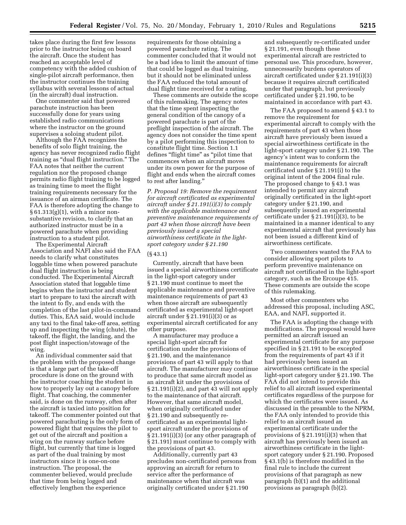takes place during the first few lessons prior to the instructor being on board the aircraft. Once the student has reached an acceptable level of competency with the added cushion of single-pilot aircraft performance, then the instructor continues the training syllabus with several lessons of actual (in the aircraft) dual instruction.

One commenter said that powered parachute instruction has been successfully done for years using established radio communications where the instructor on the ground supervises a soloing student pilot.

Although the FAA recognizes the benefits of solo flight training, the agency has never recognized radio flight training as ''dual flight instruction.'' The FAA notes that neither the current regulation nor the proposed change permits radio flight training to be logged as training time to meet the flight training requirements necessary for the issuance of an airman certificate. The FAA is therefore adopting the change to  $§ 61.313(g)(1)$ , with a minor nonsubstantive revision, to clarify that an authorized instructor must be in a powered parachute when providing instruction to a student pilot.

The Experimental Aircraft Association and NAFI also said the FAA needs to clarify what constitutes loggable time when powered parachute dual flight instruction is being conducted. The Experimental Aircraft Association stated that loggable time begins when the instructor and student start to prepare to taxi the aircraft with the intent to fly, and ends with the completion of the last pilot-in-command duties. This, EAA said, would include any taxi to the final take-off area, setting up and inspecting the wing (chute), the takeoff, the flight, the landing, and the post flight inspection/stowage of the wing.

An individual commenter said that the problem with the proposed change is that a large part of the take-off procedure is done on the ground with the instructor coaching the student in how to properly lay out a canopy before flight. That coaching, the commenter said, is done on the runway, often after the aircraft is taxied into position for takeoff. The commenter pointed out that powered parachuting is the only form of powered flight that requires the pilot to get out of the aircraft and position a wing on the runway surface before flight, but currently that time is logged as part of the dual training by most instructors since it is one-on-one instruction. The proposal, the commenter believed, would preclude that time from being logged and effectively lengthen the experience

requirements for those obtaining a powered parachute rating. The commenter concluded that it would not be a bad idea to limit the amount of time that could be logged as dual training, but it should not be eliminated unless the FAA reduced the total amount of dual flight time received for a rating.

These comments are outside the scope of this rulemaking. The agency notes that the time spent inspecting the general condition of the canopy of a powered parachute is part of the preflight inspection of the aircraft. The agency does not consider the time spent by a pilot performing this inspection to constitute flight time. Section 1.1 defines ''flight time'' as ''pilot time that commences when an aircraft moves under its own power for the purpose of flight and ends when the aircraft comes to rest after landing.''

*P. Proposal 19: Remove the requirement for aircraft certificated as experimental aircraft under § 21.191(i)(3) to comply with the applicable maintenance and preventive maintenance requirements of part 43 when those aircraft have been previously issued a special airworthiness certificate in the lightsport category under § 21.190* 

#### (§ 43.1)

Currently, aircraft that have been issued a special airworthiness certificate in the light-sport category under § 21.190 must continue to meet the applicable maintenance and preventive maintenance requirements of part 43 when those aircraft are subsequently certificated as experimental light-sport aircraft under  $\S 21.191(i)(3)$  or as experimental aircraft certificated for any other purpose.

A manufacturer may produce a special light-sport aircraft for certification under the provisions of § 21.190, and the maintenance provisions of part 43 will apply to that aircraft. The manufacturer may continue to produce that same aircraft model as an aircraft kit under the provisions of § 21.191(i)(2), and part 43 will not apply to the maintenance of that aircraft. However, that same aircraft model, when originally certificated under § 21.190 and subsequently recertificated as an experimental lightsport aircraft under the provisions of § 21.191(i)(3) (or any other paragraph of § 21.191) must continue to comply with the provisions of part 43.

Additionally, currently part 43 precludes non-certificated persons from approving an aircraft for return to service after the performance of maintenance when that aircraft was originally certificated under § 21.190

and subsequently re-certificated under § 21.191, even though these experimental aircraft are restricted to personal use. This procedure, however, unnecessarily burdens operators of aircraft certificated under § 21.191(i)(3) because it requires aircraft certificated under that paragraph, but previously certificated under § 21.190, to be maintained in accordance with part 43.

The FAA proposed to amend § 43.1 to remove the requirement for experimental aircraft to comply with the requirements of part 43 when those aircraft have previously been issued a special airworthiness certificate in the light-sport category under § 21.190. The agency's intent was to conform the maintenance requirements for aircraft certificated under § 21.191(i) to the original intent of the 2004 final rule. The proposed change to § 43.1 was intended to permit any aircraft originally certificated in the light-sport category under § 21.190, and subsequently issued an experimental certificate under § 21.191(i)(3), to be maintained in a manner identical to any experimental aircraft that previously has not been issued a different kind of airworthiness certificate.

Two commenters wanted the FAA to consider allowing sport pilots to perform preventive maintenance on aircraft not certificated in the light-sport category, such as the Ercoupe 415. These comments are outside the scope of this rulemaking.

Most other commenters who addressed this proposal, including ASC, EAA, and NAFI, supported it.

The FAA is adopting the change with modifications. The proposal would have permitted an aircraft issued an experimental certificate for any purpose specified in § 21.191 to be excepted from the requirements of part 43 if it had previously been issued an airworthiness certificate in the special light-sport category under § 21.190. The FAA did not intend to provide this relief to all aircraft issued experimental certificates regardless of the purpose for which the certificates were issued. As discussed in the preamble to the NPRM, the FAA only intended to provide this relief to an aircraft issued an experimental certificate under the provisions of § 21.191(i)(3) when that aircraft has previously been issued an airworthiness certificate in the lightsport category under § 21.190. Proposed § 43.1(b) is therefore modified in the final rule to include the current provisions of that paragraph as new paragraph (b)(1) and the additional provisions as paragraph (b)(2).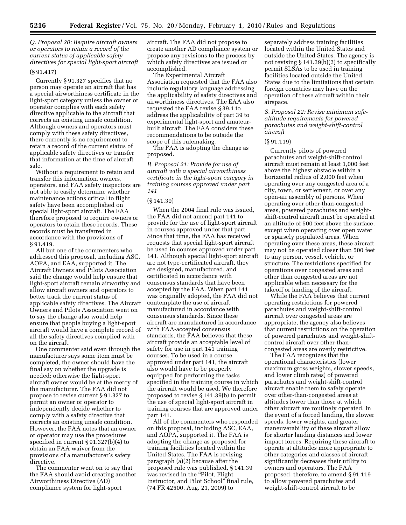*Q. Proposal 20: Require aircraft owners or operators to retain a record of the current status of applicable safety directives for special light-sport aircraft* 

## (§ 91.417)

Currently § 91.327 specifies that no person may operate an aircraft that has a special airworthiness certificate in the light-sport category unless the owner or operator complies with each safety directive applicable to the aircraft that corrects an existing unsafe condition. Although owners and operators must comply with these safety directives, there currently is no requirement to retain a record of the current status of applicable safety directives or transfer that information at the time of aircraft sale.

Without a requirement to retain and transfer this information, owners, operators, and FAA safety inspectors are not able to easily determine whether maintenance actions critical to flight safety have been accomplished on special light-sport aircraft. The FAA therefore proposed to require owners or operators to retain these records. These records must be transferred in accordance with the provisions of § 91.419.

All but one of the commenters who addressed this proposal, including ASC, AOPA, and EAA, supported it. The Aircraft Owners and Pilots Association said the change would help ensure that light-sport aircraft remain airworthy and allow aircraft owners and operators to better track the current status of applicable safety directives. The Aircraft Owners and Pilots Association went on to say the change also would help ensure that people buying a light-sport aircraft would have a complete record of all the safety directives complied with on the aircraft.

One commenter said even through the manufacturer says some item must be completed, the owner should have the final say on whether the upgrade is needed; otherwise the light-sport aircraft owner would be at the mercy of the manufacturer. The FAA did not propose to revise current § 91.327 to permit an owner or operator to independently decide whether to comply with a safety directive that corrects an existing unsafe condition. However, the FAA notes that an owner or operator may use the procedures specified in current § 91.327(b)(4) to obtain an FAA waiver from the provisions of a manufacturer's safety directive.

The commenter went on to say that the FAA should avoid creating another Airworthiness Directive (AD) compliance system for light-sport

aircraft. The FAA did not propose to create another AD compliance system or propose any revisions to the process by which safety directives are issued or accomplished.

The Experimental Aircraft Association requested that the FAA also include regulatory language addressing the applicability of safety directives and airworthiness directives. The EAA also requested the FAA revise § 39.1 to address the applicability of part 39 to experimental light-sport and amateurbuilt aircraft. The FAA considers these recommendations to be outside the scope of this rulemaking.

The FAA is adopting the change as proposed.

*R. Proposal 21: Provide for use of aircraft with a special airworthiness certificate in the light-sport category in training courses approved under part 141* 

# (§ 141.39)

When the 2004 final rule was issued, the FAA did not amend part 141 to provide for the use of light-sport aircraft in courses approved under that part. Since that time, the FAA has received requests that special light-sport aircraft be used in courses approved under part 141. Although special light-sport aircraft are not type-certificated aircraft, they are designed, manufactured, and certificated in accordance with consensus standards that have been accepted by the FAA. When part 141 was originally adopted, the FAA did not contemplate the use of aircraft manufactured in accordance with consensus standards. Since these aircraft are manufactured in accordance with FAA-accepted consensus standards, the FAA believes that these aircraft provide an acceptable level of safety for use in part 141 training courses. To be used in a course approved under part 141, the aircraft also would have to be properly equipped for performing the tasks specified in the training course in which the aircraft would be used. We therefore proposed to revise § 141.39(b) to permit the use of special light-sport aircraft in training courses that are approved under part 141.

All of the commenters who responded on this proposal, including ASC, EAA, and AOPA, supported it. The FAA is adopting the change as proposed for training facilities located within the United States. The FAA is revising paragraph (a)(2) because after the proposed rule was published, § 141.39 was revised in the "Pilot, Flight" Instructor, and Pilot School'' final rule, (74 FR 42500, Aug. 21, 2009) to

separately address training facilities located within the United States and outside the United States. The agency is not revising § 141.39(b)(2) to specifically permit SLSAs to be used in training facilities located outside the United States due to the limitations that certain foreign countries may have on the operation of these aircraft within their airspace.

*S. Proposal 22: Revise minimum safealtitude requirements for powered parachutes and weight-shift-control aircraft* 

#### (§ 91.119)

Currently pilots of powered parachutes and weight-shift-control aircraft must remain at least 1,000 feet above the highest obstacle within a horizontal radius of 2,000 feet when operating over any congested area of a city, town, or settlement, or over any open-air assembly of persons. When operating over other-than-congested areas, powered parachutes and weightshift-control aircraft must be operated at an altitude of 500 feet above the surface, except when operating over open water or sparsely populated areas. When operating over these areas, these aircraft may not be operated closer than 500 feet to any person, vessel, vehicle, or structure. The restrictions specified for operations over congested areas and other than congested areas are not applicable when necessary for the takeoff or landing of the aircraft.

While the FAA believes that current operating restrictions for powered parachutes and weight-shift-control aircraft over congested areas are appropriate, the agency also believes that current restrictions on the operation of powered parachutes and weight-shiftcontrol aircraft over other-thancongested areas are overly restrictive.

The FAA recognizes that the operational characteristics (lower maximum gross weights, slower speeds, and lower climb rates) of powered parachutes and weight-shift-control aircraft enable them to safely operate over other-than-congested areas at altitudes lower than those at which other aircraft are routinely operated. In the event of a forced landing, the slower speeds, lower weights, and greater maneuverability of these aircraft allow for shorter landing distances and lower impact forces. Requiring these aircraft to operate at altitudes more appropriate to other categories and classes of aircraft significantly decreases their utility to owners and operators. The FAA proposed, therefore, to amend § 91.119 to allow powered parachutes and weight-shift-control aircraft to be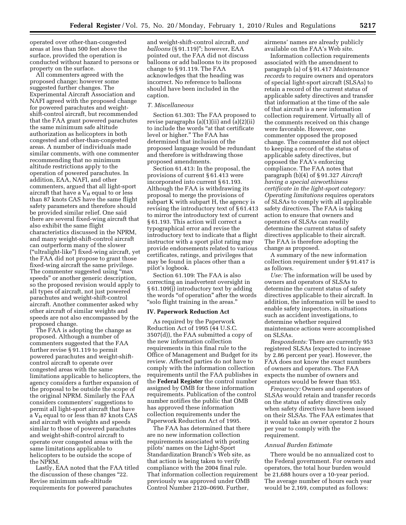operated over other-than-congested areas at less than 500 feet above the surface, provided the operation is conducted without hazard to persons or property on the surface.

All commenters agreed with the proposed change; however some suggested further changes. The Experimental Aircraft Association and NAFI agreed with the proposed change for powered parachutes and weightshift-control aircraft, but recommended that the FAA grant powered parachutes the same minimum safe altitude authorization as helicopters in both congested and other-than-congested areas. A number of individuals made similar comments, with one commenter recommending that no minimum altitude restrictions apply to the operation of powered parachutes. In addition, EAA, NAFI, and other commenters, argued that all light-sport aircraft that have a  $V_H$  equal to or less than 87 knots CAS have the same flight safety parameters and therefore should be provided similar relief. One said there are several fixed-wing aircraft that also exhibit the same flight characteristics discussed in the NPRM, and many weight-shift-control aircraft can outperform many of the slower (''ultralight-like'') fixed-wing aircraft, yet the FAA did not propose to grant those fixed-wing aircraft the same privilege. The commenter suggested using ''max speeds'' or another generic description, so the proposed revision would apply to all types of aircraft, not just powered parachutes and weight-shift-control aircraft. Another commenter asked why other aircraft of similar weights and speeds are not also encompassed by the proposed change.

The FAA is adopting the change as proposed. Although a number of commenters suggested that the FAA further revise § 91.119 to permit powered parachutes and weight-shiftcontrol aircraft to operate over congested areas with the same limitations applicable to helicopters, the agency considers a further expansion of the proposal to be outside the scope of the original NPRM. Similarly the FAA considers commenters' suggestions to permit all light-sport aircraft that have a  $V_H$  equal to or less than 87 knots CAS and aircraft with weights and speeds similar to those of powered parachutes and weight-shift-control aircraft to operate over congested areas with the same limitations applicable to helicopters to be outside the scope of the NPRM.

Lastly, EAA noted that the FAA titled the discussion of these changes ''22. Revise minimum safe-altitude requirements for powered parachutes

and weight-shift-control aircraft, *and balloons* (§ 91.119)''; however, EAA pointed out, the FAA did not discuss balloons or add balloons to its proposed change to § 91.119. The FAA acknowledges that the heading was incorrect. No reference to balloons should have been included in the caption.

#### *T. Miscellaneous*

Section 61.303: The FAA proposed to revise paragraphs (a)(1)(ii) and (a)(2)(ii) to include the words ''at that certificate level or higher.'' The FAA has determined that inclusion of the proposed language would be redundant and therefore is withdrawing those proposed amendments.

Section 61.413: In the proposal, the provisions of current § 61.413 were incorporated into current § 61.193. Although the FAA is withdrawing its proposal to merge the provisions of subpart K with subpart H, the agency is revising the introductory text of § 61.413 to mirror the introductory text of current § 61.193. This action will correct a typographical error and revise the introductory text to indicate that a flight instructor with a sport pilot rating may provide endorsements related to various certificates, ratings, and privileges that may be found in places other than a pilot's logbook.

Section 61.109: The FAA is also correcting an inadvertent oversight in § 61.109(j) introductory text by adding the words "of operation" after the words ''solo flight training in the areas.''

#### **IV. Paperwork Reduction Act**

As required by the Paperwork Reduction Act of 1995 (44 U.S.C. 3507(d)), the FAA submitted a copy of the new information collection requirements in this final rule to the Office of Management and Budget for its review. Affected parties do not have to comply with the information collection requirements until the FAA publishes in the **Federal Register** the control number assigned by OMB for these information requirements. Publication of the control number notifies the public that OMB has approved these information collection requirements under the Paperwork Reduction Act of 1995.

The FAA has determined that there are no new information collection requirements associated with posting pilots' names on the Light-Sport Standardization Branch's Web site, as that action is being taken to verify compliance with the 2004 final rule. That information collection requirement previously was approved under OMB Control Number 2120–0690. Further,

airmens' names are already publicly available on the FAA's Web site.

Information collection requirements associated with the amendment to paragraph (a) of § 91.417 *Maintenance records* to require owners and operators of special light-sport aircraft (SLSAs) to retain a record of the current status of applicable safety directives and transfer that information at the time of the sale of that aircraft is a new information collection requirement. Virtually all of the comments received on this change were favorable. However, one commenter opposed the proposed change. The commenter did not object to keeping a record of the status of applicable safety directives, but opposed the FAA's enforcing compliance. The FAA notes that paragraph (b)(4) of § 91.327 *Aircraft having a special airworthiness certificate in the light-sport category: Operating limitations* requires operators of SLSAs to comply with all applicable safety directives. The FAA is taking action to ensure that owners and operators of SLSAs can readily determine the current status of safety directives applicable to their aircraft. The FAA is therefore adopting the change as proposed.

A summary of the new information collection requirement under § 91.417 is as follows.

*Use:* The information will be used by owners and operators of SLSAs to determine the current status of safety directives applicable to their aircraft. In addition, the information will be used to enable safety inspectors, in situations such as accident investigations, to determine whether required maintenance actions were accomplished on SLSAs.

*Respondents:* There are currently 953 registered SLSAs (expected to increase by 2.86 percent per year). However, the FAA does not know the exact numbers of owners and operators. The FAA expects the number of owners and operators would be fewer than 953.

*Frequency:* Owners and operators of SLSAs would retain and transfer records on the status of safety directives only when safety directives have been issued on their SLSAs. The FAA estimates that it would take an owner operator 2 hours per year to comply with the requirement.

#### *Annual Burden Estimate*

There would be no annualized cost to the Federal government. For owners and operators, the total hour burden would be 21,688 hours over a 10-year period. The average number of hours each year would be 2,169, computed as follows: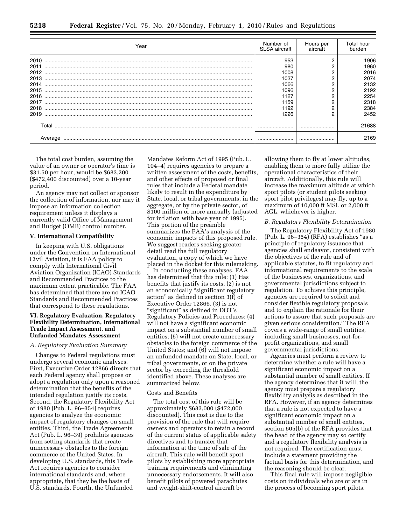| Year                                                                         | Number of<br><b>SLSA</b> aircraft                                          | Hours per<br>aircraft | Total hour<br>burden                                                         |
|------------------------------------------------------------------------------|----------------------------------------------------------------------------|-----------------------|------------------------------------------------------------------------------|
| 2010<br>2011<br>2012<br>2013<br>2014<br>2015<br>2016<br>2017<br>2018<br>2019 | 953<br>980<br>1008<br>1037<br>1066<br>1096<br>1127<br>1159<br>1192<br>1226 |                       | 1906<br>1960<br>2016<br>2074<br>2132<br>2192<br>2254<br>2318<br>2384<br>2452 |
| Total                                                                        |                                                                            |                       | 21688<br>2169                                                                |

The total cost burden, assuming the value of an owner or operator's time is \$31.50 per hour, would be \$683,200 (\$472,400 discounted) over a 10-year period.

An agency may not collect or sponsor the collection of information, nor may it impose an information collection requirement unless it displays a currently valid Office of Management and Budget (OMB) control number.

#### **V. International Compatibility**

In keeping with U.S. obligations under the Convention on International Civil Aviation, it is FAA policy to comply with International Civil Aviation Organization (ICAO) Standards and Recommended Practices to the maximum extent practicable. The FAA has determined that there are no ICAO Standards and Recommended Practices that correspond to these regulations.

# **VI. Regulatory Evaluation, Regulatory Flexibility Determination, International Trade Impact Assessment, and Unfunded Mandates Assessment**

#### *A. Regulatory Evaluation Summary*

Changes to Federal regulations must undergo several economic analyses. First, Executive Order 12866 directs that each Federal agency shall propose or adopt a regulation only upon a reasoned determination that the benefits of the intended regulation justify its costs. Second, the Regulatory Flexibility Act of 1980 (Pub. L. 96–354) requires agencies to analyze the economic impact of regulatory changes on small entities. Third, the Trade Agreements Act (Pub. L. 96–39) prohibits agencies from setting standards that create unnecessary obstacles to the foreign commerce of the United States. In developing U.S. standards, this Trade Act requires agencies to consider international standards and, where appropriate, that they be the basis of U.S. standards. Fourth, the Unfunded

Mandates Reform Act of 1995 (Pub. L. 104–4) requires agencies to prepare a written assessment of the costs, benefits, and other effects of proposed or final rules that include a Federal mandate likely to result in the expenditure by State, local, or tribal governments, in the aggregate, or by the private sector, of \$100 million or more annually (adjusted for inflation with base year of 1995). This portion of the preamble summarizes the FAA's analysis of the economic impacts of this proposed rule. We suggest readers seeking greater detail read the full regulatory evaluation, a copy of which we have placed in the docket for this rulemaking.

In conducting these analyses, FAA has determined that this rule: (1) Has benefits that justify its costs, (2) is not an economically ''significant regulatory action'' as defined in section 3(f) of Executive Order 12866, (3) is not "significant" as defined in DOT's Regulatory Policies and Procedures; (4) will not have a significant economic impact on a substantial number of small entities; (5) will not create unnecessary obstacles to the foreign commerce of the United States; and (6) will not impose an unfunded mandate on State, local, or tribal governments, or on the private sector by exceeding the threshold identified above. These analyses are summarized below.

#### Costs and Benefits

The total cost of this rule will be approximately \$683,000 (\$472,000 discounted). This cost is due to the provision of the rule that will require owners and operators to retain a record of the current status of applicable safety directives and to transfer that information at the time of sale of the aircraft. This rule will benefit sport pilots by establishing more appropriate training requirements and eliminating unnecessary endorsements. It will also benefit pilots of powered parachutes and weight-shift-control aircraft by

allowing them to fly at lower altitudes, enabling them to more fully utilize the operational characteristics of their aircraft. Additionally, this rule will increase the maximum altitude at which sport pilots (or student pilots seeking sport pilot privileges) may fly, up to a maximum of 10,000 ft MSL or 2,000 ft AGL, whichever is higher.

#### *B. Regulatory Flexibility Determination*

The Regulatory Flexibility Act of 1980 (Pub. L. 96–354) (RFA) establishes ''as a principle of regulatory issuance that agencies shall endeavor, consistent with the objectives of the rule and of applicable statutes, to fit regulatory and informational requirements to the scale of the businesses, organizations, and governmental jurisdictions subject to regulation. To achieve this principle, agencies are required to solicit and consider flexible regulatory proposals and to explain the rationale for their actions to assure that such proposals are given serious consideration.'' The RFA covers a wide-range of small entities, including small businesses, not-forprofit organizations, and small governmental jurisdictions.

Agencies must perform a review to determine whether a rule will have a significant economic impact on a substantial number of small entities. If the agency determines that it will, the agency must prepare a regulatory flexibility analysis as described in the RFA. However, if an agency determines that a rule is not expected to have a significant economic impact on a substantial number of small entities, section 605(b) of the RFA provides that the head of the agency may so certify and a regulatory flexibility analysis is not required. The certification must include a statement providing the factual basis for this determination, and the reasoning should be clear.

This final rule will impose negligible costs on individuals who are or are in the process of becoming sport pilots.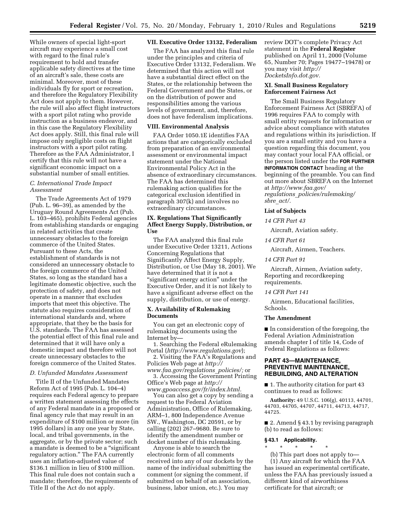While owners of special light-sport aircraft may experience a small cost with regard to the final rule's requirement to hold and transfer applicable safety directives at the time of an aircraft's sale, these costs are minimal. Moreover, most of these individuals fly for sport or recreation, and therefore the Regulatory Flexibility Act does not apply to them. However, the rule will also affect flight instructors with a sport pilot rating who provide instruction as a business endeavor, and in this case the Regulatory Flexibility Act does apply. Still, this final rule will impose only negligible costs on flight instructors with a sport pilot rating. Therefore as the FAA Administrator, I certify that this rule will not have a significant economic impact on a substantial number of small entities.

# *C. International Trade Impact Assessment*

The Trade Agreements Act of 1979 (Pub. L. 96–39), as amended by the Uruguay Round Agreements Act (Pub. L. 103–465), prohibits Federal agencies from establishing standards or engaging in related activities that create unnecessary obstacles to the foreign commerce of the United States. Pursuant to these Acts, the establishment of standards is not considered an unnecessary obstacle to the foreign commerce of the United States, so long as the standard has a legitimate domestic objective, such the protection of safety, and does not operate in a manner that excludes imports that meet this objective. The statute also requires consideration of international standards and, where appropriate, that they be the basis for U.S. standards. The FAA has assessed the potential effect of this final rule and determined that it will have only a domestic impact and therefore will not create unnecessary obstacles to the foreign commerce of the United States.

#### *D. Unfunded Mandates Assessment*

Title II of the Unfunded Mandates Reform Act of 1995 (Pub. L. 104–4) requires each Federal agency to prepare a written statement assessing the effects of any Federal mandate in a proposed or final agency rule that may result in an expenditure of \$100 million or more (in 1995 dollars) in any one year by State, local, and tribal governments, in the aggregate, or by the private sector; such a mandate is deemed to be a ''significant regulatory action.'' The FAA currently uses an inflation-adjusted value of \$136.1 million in lieu of \$100 million. This final rule does not contain such a mandate; therefore, the requirements of Title II of the Act do not apply.

#### **VII. Executive Order 13132, Federalism**

The FAA has analyzed this final rule under the principles and criteria of Executive Order 13132, Federalism. We determined that this action will not have a substantial direct effect on the States, or the relationship between the Federal Government and the States, or on the distribution of power and responsibilities among the various levels of government, and, therefore, does not have federalism implications.

#### **VIII. Environmental Analysis**

FAA Order 1050.1E identifies FAA actions that are categorically excluded from preparation of an environmental assessment or environmental impact statement under the National Environmental Policy Act in the absence of extraordinary circumstances. The FAA has determined this rulemaking action qualifies for the categorical exclusion identified in paragraph 307(k) and involves no extraordinary circumstances.

# **IX. Regulations That Significantly Affect Energy Supply, Distribution, or Use**

The FAA analyzed this final rule under Executive Order 13211, Actions Concerning Regulations that Significantly Affect Energy Supply, Distribution, or Use (May 18, 2001). We have determined that it is not a ''significant energy action'' under the Executive Order, and it is not likely to have a significant adverse effect on the supply, distribution, or use of energy.

#### **X. Availability of Rulemaking Documents**

You can get an electronic copy of rulemaking documents using the Internet by—

1. Searching the Federal eRulemaking Portal (*http://www.regulations.gov*);

2. Visiting the FAA's Regulations and Policies Web page at *http://* 

*www.faa.gov/regulations*\_*policies/;* or 3. Accessing the Government Printing Office's Web page at *http://* 

*www.gpoaccess.gov/fr/index.html.* 

You can also get a copy by sending a request to the Federal Aviation Administration, Office of Rulemaking, ARM–1, 800 Independence Avenue SW., Washington, DC 20591, or by calling (202) 267–9680. Be sure to identify the amendment number or docket number of this rulemaking.

Anyone is able to search the electronic form of all comments received into any of our dockets by the name of the individual submitting the comment (or signing the comment, if submitted on behalf of an association, business, labor union, etc.). You may

review DOT's complete Privacy Act statement in the **Federal Register**  published on April 11, 2000 (Volume 65, Number 70; Pages 19477–19478) or you may visit *http:// DocketsInfo.dot.gov.* 

# **XI. Small Business Regulatory Enforcement Fairness Act**

The Small Business Regulatory Enforcement Fairness Act (SBREFA) of 1996 requires FAA to comply with small entity requests for information or advice about compliance with statutes and regulations within its jurisdiction. If you are a small entity and you have a question regarding this document, you may contact your local FAA official, or the person listed under the **FOR FURTHER INFORMATION CONTACT** heading at the beginning of the preamble. You can find out more about SBREFA on the Internet at *http://www.faa.gov/ regulations*\_*policies/rulemaking/ sbre*\_*act/.* 

#### **List of Subjects**

#### *14 CFR Part 43*

Aircraft, Aviation safety.

*14 CFR Part 61* 

Aircraft, Airmen, Teachers.

*14 CFR Part 91* 

Aircraft, Airmen, Aviation safety, Reporting and recordkeeping requirements.

#### *14 CFR Part 141*

Airmen, Educational facilities, Schools.

#### **The Amendment**

■ In consideration of the foregoing, the Federal Aviation Administration amends chapter I of title 14, Code of Federal Regulations as follows:

# **PART 43—MAINTENANCE, PREVENTIVE MAINTENANCE, REBUILDING, AND ALTERATION**

■ 1. The authority citation for part 43 continues to read as follows:

**Authority:** 49 U.S.C. 106(g), 40113, 44701, 44703, 44705, 44707, 44711, 44713, 44717, 44725.

■ 2. Amend § 43.1 by revising paragraph (b) to read as follows:

# **§ 43.1 Applicability.**

\* \* \* \* \*

certificate for that aircraft; or

(b) This part does not apply to— (1) Any aircraft for which the FAA has issued an experimental certificate, unless the FAA has previously issued a different kind of airworthiness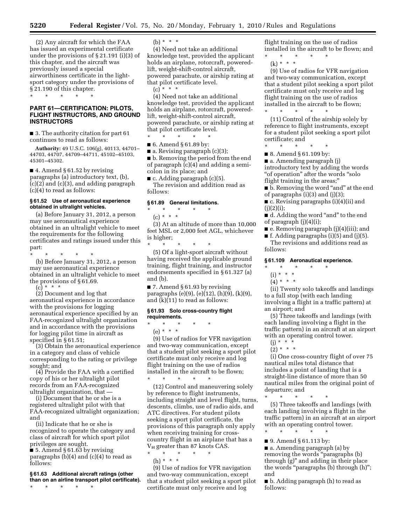**5220 Federal Register** / Vol. 75, No. 20 / Monday, February 1, 2010 / Rules and Regulations

(2) Any aircraft for which the FAA has issued an experimental certificate under the provisions of § 21.191 (i)(3) of this chapter, and the aircraft was previously issued a special airworthiness certificate in the lightsport category under the provisions of § 21.190 of this chapter.

\* \* \* \* \*

# **PART 61—CERTIFICATION: PILOTS, FLIGHT INSTRUCTORS, AND GROUND INSTRUCTORS**

■ 3. The authority citation for part 61 continues to read as follows:

**Authority:** 49 U.S.C. 106(g), 40113, 44701– 44703, 44707, 44709–44711, 45102–45103, 45301–45302.

■ 4. Amend § 61.52 by revising paragraphs (a) introductory text, (b),  $(c)(2)$  and  $(c)(3)$ , and adding paragraph (c)(4) to read as follows:

#### **§ 61.52 Use of aeronautical experience obtained in ultralight vehicles.**

(a) Before January 31, 2012, a person may use aeronautical experience obtained in an ultralight vehicle to meet the requirements for the following certificates and ratings issued under this part:

\* \* \* \* \*

(b) Before January 31, 2012, a person may use aeronautical experience obtained in an ultralight vehicle to meet the provisions of § 61.69.  $(c) * * * *$ 

(2) Document and log that aeronautical experience in accordance with the provisions for logging aeronautical experience specified by an FAA-recognized ultralight organization and in accordance with the provisions for logging pilot time in aircraft as specified in § 61.51;

(3) Obtain the aeronautical experience in a category and class of vehicle corresponding to the rating or privilege sought; and

(4) Provide the FAA with a certified copy of his or her ultralight pilot records from an FAA-recognized ultralight organization, that —

(i) Document that he or she is a registered ultralight pilot with that FAA-recognized ultralight organization; and

(ii) Indicate that he or she is recognized to operate the category and class of aircraft for which sport pilot privileges are sought.

■ 5. Amend § 61.63 by revising paragraphs  $(b)(4)$  and  $(c)(4)$  to read as follows:

#### **§ 61.63 Additional aircraft ratings (other than on an airline transport pilot certificate).**

\* \* \* \* \*

(b) \* \* \*

(4) Need not take an additional knowledge test, provided the applicant holds an airplane, rotorcraft, poweredlift, weight-shift-control aircraft, powered parachute, or airship rating at that pilot certificate level.  $(c) * * * *$ 

(4) Need not take an additional knowledge test, provided the applicant holds an airplane, rotorcraft, poweredlift, weight-shift-control aircraft, powered parachute, or airship rating at that pilot certificate level. \* \* \* \* \*

■ 6. Amend § 61.89 by:

 $\blacksquare$  a. Revising paragraph (c)(3);

■ b. Removing the period from the end of paragraph (c)(4) and adding a semicolon in its place; and

 $\blacksquare$  c. Adding paragraph (c)(5). The revision and addition read as follows:

#### **§ 61.89 General limitations.**

\* \* \* \* \* (c) \* \* \*

(3) At an altitude of more than 10,000 feet MSL or 2,000 feet AGL, whichever is higher;

\* \* \* \* \* (5) Of a light-sport aircraft without having received the applicable ground training, flight training, and instructor endorsements specified in § 61.327 (a) and (b).

 $\blacksquare$  7. Amend § 61.93 by revising paragraphs (e)(9), (e)(12), (h)(9), (k)(9), and (k)(11) to read as follows:

#### **§ 61.93 Solo cross-country flight requirements.**

\* \* \* \* \*

(e) \* \* \* (9) Use of radios for VFR navigation and two-way communication, except that a student pilot seeking a sport pilot certificate must only receive and log flight training on the use of radios installed in the aircraft to be flown;

\* \* \* \* \* (12) Control and maneuvering solely by reference to flight instruments, including straight and level flight, turns, descents, climbs, use of radio aids, and ATC directives. For student pilots seeking a sport pilot certificate, the provisions of this paragraph only apply when receiving training for crosscountry flight in an airplane that has a  $V_H$  greater than 87 knots CAS.

\* \* \* \* \* (h) \* \* \*

(9) Use of radios for VFR navigation and two-way communication, except that a student pilot seeking a sport pilot certificate must only receive and log

flight training on the use of radios installed in the aircraft to be flown; and

\* \* \* \* \*  $(k) * * * *$ 

(9) Use of radios for VFR navigation and two-way communication, except that a student pilot seeking a sport pilot certificate must only receive and log flight training on the use of radios installed in the aircraft to be flown;

- \* \* \* \* \* (11) Control of the airship solely by reference to flight instruments, except for a student pilot seeking a sport pilot certificate; and
- \* \* \* \* \*
- 8. Amend § 61.109 by:

■ a. Amending paragraph (j) introductory text by adding the words "of operation" after the words "solo flight training in the areas;''

■ b. Removing the word "and" at the end of paragraphs (i)(3) and (j)(3);

■ c. Revising paragraphs (i)(4)(ii) and  $(i)(2)(i)$ :

■ d. Adding the word "and" to the end of paragraph (j)(4)(i);

■ e. Removing paragraph (j)(4)(iii); and

■ f. Adding paragraphs (i)(5) and (j)(5).

The revisions and additions read as follows:

#### **§ 61.109 Aeronautical experience.**

# \* \* \* \* \*

- (i) \* \* \*
- $(4) * * * *$

(ii) Twenty solo takeoffs and landings to a full stop (with each landing involving a flight in a traffic pattern) at an airport; and

(5) Three takeoffs and landings (with each landing involving a flight in the traffic pattern) in an aircraft at an airport with an operating control tower.

- $(j) * * * * *$
- $(2) * * * *$

(i) One cross-country flight of over 75 nautical miles total distance that includes a point of landing that is a straight-line distance of more than 50 nautical miles from the original point of departure; and

\* \* \* \* \* (5) Three takeoffs and landings (with each landing involving a flight in the traffic pattern) in an aircraft at an airport with an operating control tower.

\* \* \* \* \*

■ 9. Amend § 61.113 by:

■ a. Amending paragraph (a) by removing the words ''paragraphs (b) through (g)'' and adding in their place the words "paragraphs (b) through (h)"; and

■ b. Adding paragraph (h) to read as follows: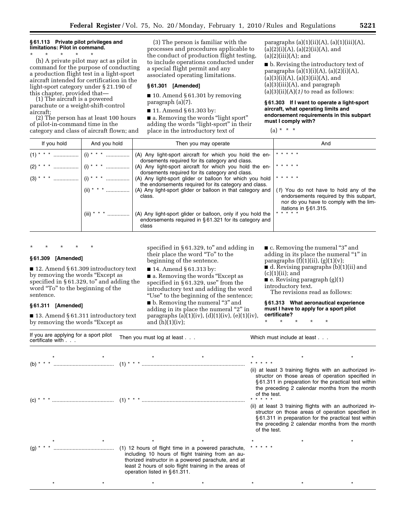# **§ 61.113 Private pilot privileges and limitations: Pilot in command.**

\* \* \* \* \* (h) A private pilot may act as pilot in command for the purpose of conducting a production flight test in a light-sport aircraft intended for certification in the light-sport category under § 21.190 of this chapter, provided that— (1) The aircraft is a powered

parachute or a weight-shift-control aircraft;

(2) The person has at least 100 hours of pilot-in-command time in the category and class of aircraft flown; and

(3) The person is familiar with the processes and procedures applicable to the conduct of production flight testing, to include operations conducted under a special flight permit and any associated operating limitations.

#### **§ 61.301 [Amended]**

 $\blacksquare$  10. Amend § 61.301 by removing paragraph (a)(7).

■ 11. Amend § 61.303 by:

■ a. Removing the words "light sport" adding the words "light-sport" in their place in the introductory text of

paragraphs  $(a)(1)(ii)(A)$ ,  $(a)(1)(iii)(A)$ ,  $(a)(2)(i)(A), (a)(2)(ii)(A), and$  $(a)(2)(iii)(A);$  and

■ b. Revising the introductory text of paragraphs  $(a)(1)(i)(A)$ ,  $(a)(2)(i)(A)$ ,  $(a)(3)(i)(A), (a)(3)(ii)(A), and$ (a)(3)(iii)(A), and paragraph  $(a)(3)(ii)(A)(1)$  to read as follows:

**§ 61.303 If I want to operate a light-sport aircraft, what operating limits and endorsement requirements in this subpart must I comply with?** 

 $(a) * * * *$ 

| If you hold<br>And you hold |              | Then you may operate                                                                                                                                                  | And                                                                                                                                                    |  |
|-----------------------------|--------------|-----------------------------------------------------------------------------------------------------------------------------------------------------------------------|--------------------------------------------------------------------------------------------------------------------------------------------------------|--|
|                             |              | (A) Any light-sport aircraft for which you hold the en-<br>dorsements required for its category and class.<br>(A) Any light-sport aircraft for which you hold the en- | * * * * *<br>* * * * *                                                                                                                                 |  |
|                             |              | dorsements required for its category and class.<br>(A) Any light-sport glider or balloon for which you hold<br>the endorsements required for its category and class.  | * * * * *                                                                                                                                              |  |
|                             | (ii) * * * * | (A) Any light-sport glider or balloon in that category and<br>class.                                                                                                  | (1) You do not have to hold any of the<br>endorsements required by this subpart,<br>nor do you have to comply with the lim-<br>itations in $§61.315$ . |  |
|                             | (iii) * * *  | (A) Any light-sport glider or balloon, only if you hold the<br>endorsements required in §61.321 for its category and<br>class                                         | * * * * *                                                                                                                                              |  |

\* \* \* \* \*

# **§ 61.309 [Amended]**

■ 12. Amend § 61.309 introductory text by removing the words ''Except as specified in §61.329, to" and adding the word ''To'' to the beginning of the sentence.

# **§ 61.311 [Amended]**

■ 13. Amend § 61.311 introductory text by removing the words "Except as

specified in § 61.329, to" and adding in their place the word ''To'' to the beginning of the sentence.

■ 14. Amend § 61.313 by:

■ a. Removing the words "Except as specified in  $\S$ 61.329, use" from the introductory text and adding the word ''Use'' to the beginning of the sentence;

■ b. Removing the numeral "3" and adding in its place the numeral "2" in paragraphs (a)(1)(iv), (d)(1)(iv), (e)(1)(iv), and  $(h)(1)(iv)$ ;

■ c. Removing the numeral "3" and adding in its place the numeral "1" in paragraphs  $(f)(1)(ii)$ ,  $(g)(1)(v)$ ;

■ d. Revising paragraphs (b)(1)(ii) and  $(c)(1)(ii);$  and

 $\blacksquare$  e. Revising paragraph  $(g)(1)$ introductory text.

The revisions read as follows:

**§ 61.313 What aeronautical experience must I have to apply for a sport pilot certificate?** 

\* \* \* \* \*

| If you are applying for a sport pilot<br>certificate with | Then you must log at least $\ldots$ |                                                                                                                                                                                                                         | Which must include at least                                                                                                                                                                                                            |                                                                                                                                                                                                                                        |  |  |  |
|-----------------------------------------------------------|-------------------------------------|-------------------------------------------------------------------------------------------------------------------------------------------------------------------------------------------------------------------------|----------------------------------------------------------------------------------------------------------------------------------------------------------------------------------------------------------------------------------------|----------------------------------------------------------------------------------------------------------------------------------------------------------------------------------------------------------------------------------------|--|--|--|
|                                                           |                                     |                                                                                                                                                                                                                         |                                                                                                                                                                                                                                        |                                                                                                                                                                                                                                        |  |  |  |
| $(b)$ *                                                   |                                     |                                                                                                                                                                                                                         | (ii) at least 3 training flights with an authorized in-<br>structor on those areas of operation specified in<br>§61.311 in preparation for the practical test within<br>the preceding 2 calendar months from the month<br>of the test. |                                                                                                                                                                                                                                        |  |  |  |
|                                                           |                                     |                                                                                                                                                                                                                         |                                                                                                                                                                                                                                        | (ii) at least 3 training flights with an authorized in-<br>structor on those areas of operation specified in<br>§61.311 in preparation for the practical test within<br>the preceding 2 calendar months from the month<br>of the test. |  |  |  |
| (g)                                                       | operation listed in $§61.311$ .     | (1) 12 hours of flight time in a powered parachute,<br>including 10 hours of flight training from an au-<br>thorized instructor in a powered parachute, and at<br>least 2 hours of solo flight training in the areas of |                                                                                                                                                                                                                                        |                                                                                                                                                                                                                                        |  |  |  |
|                                                           |                                     |                                                                                                                                                                                                                         |                                                                                                                                                                                                                                        |                                                                                                                                                                                                                                        |  |  |  |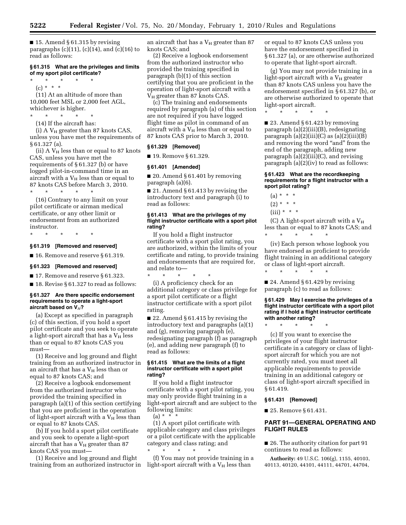$\blacksquare$  15. Amend § 61.315 by revising paragraphs  $(c)(11)$ ,  $(c)(14)$ , and  $(c)(16)$  to read as follows:

#### **§ 61.315 What are the privileges and limits of my sport pilot certificate?**

 $\star$   $\star$   $\star$ (c) \* \* \*

(11) At an altitude of more than 10,000 feet MSL or 2,000 feet AGL, whichever is higher.

\* \* \* \* \*

(14) If the aircraft has:

(i) A  $V_H$  greater than 87 knots CAS, unless you have met the requirements of § 61.327 (a).

(ii) A  $V_H$  less than or equal to 87 knots CAS, unless you have met the requirements of § 61.327 (b) or have logged pilot-in-command time in an aircraft with a  $V_H$  less than or equal to 87 knots CAS before March 3, 2010.

\* \* \* \* \* (16) Contrary to any limit on your pilot certificate or airman medical certificate, or any other limit or endorsement from an authorized instructor.

\* \* \* \* \*

#### **§ 61.319 [Removed and reserved]**

■ 16. Remove and reserve § 61.319.

# **§ 61.323 [Removed and reserved]**

■ 17. Remove and reserve § 61.323.

■ 18. Revise § 61.327 to read as follows:

#### **§ 61.327 Are there specific endorsement requirements to operate a light-sport aircraft based on V***H***?**

(a) Except as specified in paragraph (c) of this section, if you hold a sport pilot certificate and you seek to operate a light-sport aircraft that has a  $V_H$  less than or equal to 87 knots CAS you must—

(1) Receive and log ground and flight training from an authorized instructor in an aircraft that has a  $V_H$  less than or equal to 87 knots CAS; and

(2) Receive a logbook endorsement from the authorized instructor who provided the training specified in paragraph (a)(1) of this section certifying that you are proficient in the operation of light-sport aircraft with a  $V_H$  less than or equal to 87 knots CAS.

(b) If you hold a sport pilot certificate and you seek to operate a light-sport aircraft that has a  $V_H$  greater than 87 knots CAS you must—

(1) Receive and log ground and flight training from an authorized instructor in an aircraft that has a  $V_H$  greater than 87 knots CAS; and

(2) Receive a logbook endorsement from the authorized instructor who provided the training specified in paragraph (b)(1) of this section certifying that you are proficient in the operation of light-sport aircraft with a  $V_H$  greater than 87 knots CAS.

(c) The training and endorsements required by paragraph (a) of this section are not required if you have logged flight time as pilot in command of an aircraft with a  $V_H$  less than or equal to 87 knots CAS prior to March 3, 2010.

# **§ 61.329 [Removed]**

■ 19. Remove § 61.329.

#### **§ 61.401 [Amended]**

 $\blacksquare$  20. Amend § 61.401 by removing paragraph (a)(6).

■ 21. Amend § 61.413 by revising the introductory text and paragraph (i) to read as follows:

#### **§ 61.413 What are the privileges of my flight instructor certificate with a sport pilot rating?**

If you hold a flight instructor certificate with a sport pilot rating, you are authorized, within the limits of your certificate and rating, to provide training and endorsements that are required for, and relate to—

\* \* \* \* \* (i) A proficiency check for an additional category or class privilege for a sport pilot certificate or a flight instructor certificate with a sport pilot rating.

■ 22. Amend § 61.415 by revising the introductory text and paragraphs (a)(1) and (g), removing paragraph (e), redesignating paragraph (f) as paragraph (e), and adding new paragraph (f) to read as follows:

#### **§ 61.415 What are the limits of a flight instructor certificate with a sport pilot rating?**

If you hold a flight instructor certificate with a sport pilot rating, you may only provide flight training in a light-sport aircraft and are subject to the following limits:  $(a) * * * * *$ 

(1) A sport pilot certificate with applicable category and class privileges or a pilot certificate with the applicable category and class rating; and \* \* \* \* \*

(f) You may not provide training in a light-sport aircraft with a  $V_H$  less than

or equal to 87 knots CAS unless you have the endorsement specified in § 61.327 (a), or are otherwise authorized to operate that light-sport aircraft.

(g) You may not provide training in a light-sport aircraft with a  $V_H$  greater than 87 knots CAS unless you have the endorsement specified in § 61.327 (b), or are otherwise authorized to operate that light-sport aircraft.

■ 23. Amend § 61.423 by removing paragraph (a)(2)(iii)(B), redesignating paragraph  $(a)(2)(iii)(C)$  as  $(a)(2)(iii)(B)$ and removing the word "and" from the end of the paragraph, adding new paragraph (a)(2)(iii)(C), and revising paragraph (a)(2)(iv) to read as follows:

\* \* \* \* \*

## **§ 61.423 What are the recordkeeping requirements for a flight instructor with a sport pilot rating?**

 $(a) * * * *$  $(2) * * * *$  $(iii) * * * *$ 

(C) A light-sport aircraft with a  $V_H$ less than or equal to 87 knots CAS; and \* \* \* \* \*

(iv) Each person whose logbook you have endorsed as proficient to provide flight training in an additional category or class of light-sport aircraft.

 $\blacksquare$  24. Amend § 61.429 by revising paragraph (c) to read as follows:

**§ 61.429 May I exercise the privileges of a flight instructor certificate with a sport pilot rating if I hold a flight instructor certificate with another rating?** 

\* \* \* \* \*

\* \* \* \* \*

(c) If you want to exercise the privileges of your flight instructor certificate in a category or class of lightsport aircraft for which you are not currently rated, you must meet all applicable requirements to provide training in an additional category or class of light-sport aircraft specified in § 61.419.

#### **§ 61.431 [Removed]**

■ 25. Remove § 61.431.

# **PART 91—GENERAL OPERATING AND FLIGHT RULES**

■ 26. The authority citation for part 91 continues to read as follows:

**Authority:** 49 U.S.C. 106(g), 1155, 40103, 40113, 40120, 44101, 44111, 44701, 44704,